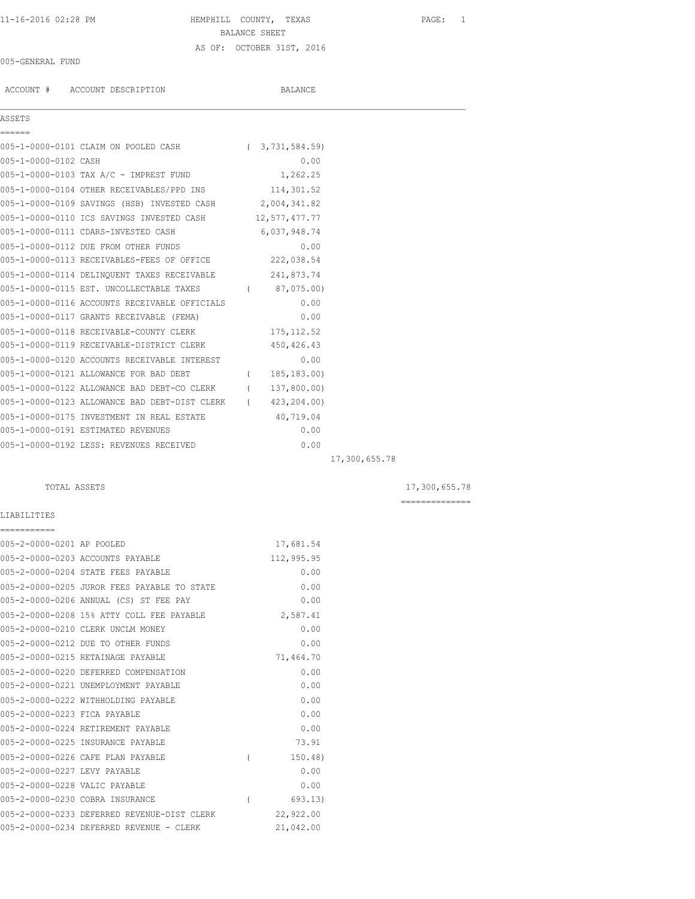# 11-16-2016 02:28 PM HEMPHILL COUNTY, TEXAS PAGE: 1 BALANCE SHEET AS OF: OCTOBER 31ST, 2016

### 005-GENERAL FUND

ACCOUNT # ACCOUNT DESCRIPTION BALANCE

## ASSETS

| ------                               |  |  |                   |
|--------------------------------------|--|--|-------------------|
|                                      |  |  |                   |
| 005-1-0000-0101 CLAIM ON POOLED CASH |  |  | (3, 731, 584, 59) |
| 005-1-0000-0102 CASH                 |  |  | 0.00              |

| ASSETS |  |  |  |
|--------|--|--|--|
|        |  |  |  |

|                      | 005-1-0000-0101 CLAIM ON POOLED CASH                       |          | 3, 131, 584.59) |  |
|----------------------|------------------------------------------------------------|----------|-----------------|--|
| 005-1-0000-0102 CASH |                                                            |          | 0.00            |  |
|                      | $005 - 1 - 0000 - 0103$ TAX A/C - IMPREST FUND $1, 262.25$ |          |                 |  |
|                      | 005-1-0000-0104 OTHER RECEIVABLES/PPD INS 114,301.52       |          |                 |  |
|                      | 005-1-0000-0109 SAVINGS (HSB) INVESTED CASH 2,004,341.82   |          |                 |  |
|                      | 005-1-0000-0110 ICS SAVINGS INVESTED CASH 12,577,477.77    |          |                 |  |
|                      | 005-1-0000-0111 CDARS-INVESTED CASH                        |          | 6,037,948.74    |  |
|                      | 005-1-0000-0112 DUE FROM OTHER FUNDS                       |          | 0.00            |  |
|                      | 005-1-0000-0113 RECEIVABLES-FEES OF OFFICE                 |          | 222,038.54      |  |
|                      | 005-1-0000-0114 DELINOUENT TAXES RECEIVABLE 241,873.74     |          |                 |  |
|                      | 005-1-0000-0115 EST. UNCOLLECTABLE TAXES                   |          | (87, 075, 00)   |  |
|                      | 005-1-0000-0116 ACCOUNTS RECEIVABLE OFFICIALS              |          | 0.00            |  |
|                      | 005-1-0000-0117 GRANTS RECEIVABLE (FEMA)                   |          | 0.00            |  |
|                      | 005-1-0000-0118 RECEIVABLE-COUNTY CLERK                    |          | 175, 112.52     |  |
|                      | 005-1-0000-0119 RECEIVABLE-DISTRICT CLERK                  |          | 450, 426.43     |  |
|                      | 005-1-0000-0120 ACCOUNTS RECEIVABLE INTEREST               |          | 0.00            |  |
|                      | 005-1-0000-0121 ALLOWANCE FOR BAD DEBT                     | $\left($ | 185, 183.00)    |  |
|                      | 005-1-0000-0122 ALLOWANCE BAD DEBT-CO CLERK                | $\left($ | 137,800.00)     |  |
|                      | 005-1-0000-0123 ALLOWANCE BAD DEBT-DIST CLERK              | $\left($ | 423,204.00)     |  |
|                      | 005-1-0000-0175 INVESTMENT IN REAL ESTATE                  |          | 40,719.04       |  |
|                      | 005-1-0000-0191 ESTIMATED REVENUES                         |          | 0.00            |  |
|                      | 005-1-0000-0192 LESS: REVENUES RECEIVED                    |          | 0.00            |  |
|                      |                                                            |          |                 |  |

17,300,655.78

## TOTAL ASSETS 17,300,655.78

==============

## LIABILITIES

| ===========                   |                                             |          |            |
|-------------------------------|---------------------------------------------|----------|------------|
| 005-2-0000-0201 AP POOLED     |                                             |          | 17,681.54  |
|                               | 005-2-0000-0203 ACCOUNTS PAYABLE            |          | 112,995.95 |
|                               | 005-2-0000-0204 STATE FEES PAYABLE          |          | 0.00       |
|                               | 005-2-0000-0205 JUROR FEES PAYABLE TO STATE |          | 0.00       |
|                               | 005-2-0000-0206 ANNUAL (CS) ST FEE PAY      |          | 0.00       |
|                               | 005-2-0000-0208 15% ATTY COLL FEE PAYABLE   |          | 2,587.41   |
|                               | 005-2-0000-0210 CLERK UNCLM MONEY           |          | 0.00       |
|                               | 005-2-0000-0212 DUE TO OTHER FUNDS          |          | 0.00       |
|                               | 005-2-0000-0215 RETAINAGE PAYABLE           |          | 71,464.70  |
|                               | 005-2-0000-0220 DEFERRED COMPENSATION       |          | 0.00       |
|                               | 005-2-0000-0221 UNEMPLOYMENT PAYABLE        |          | 0.00       |
|                               | 005-2-0000-0222 WITHHOLDING PAYABLE         |          | 0.00       |
| 005-2-0000-0223 FICA PAYABLE  |                                             |          | 0.00       |
|                               | 005-2-0000-0224 RETIREMENT PAYABLE          |          | 0.00       |
|                               | 005-2-0000-0225 INSURANCE PAYABLE           |          | 73.91      |
|                               | 005-2-0000-0226 CAFE PLAN PAYABLE           | $\left($ | 150.48)    |
| 005-2-0000-0227 LEVY PAYABLE  |                                             |          | 0.00       |
| 005-2-0000-0228 VALIC PAYABLE |                                             |          | 0.00       |
|                               | 005-2-0000-0230 COBRA INSURANCE             | $\left($ | 693.13)    |
|                               | 005-2-0000-0233 DEFERRED REVENUE-DIST CLERK |          | 22,922.00  |
|                               | 005-2-0000-0234 DEFERRED REVENUE - CLERK    |          | 21,042.00  |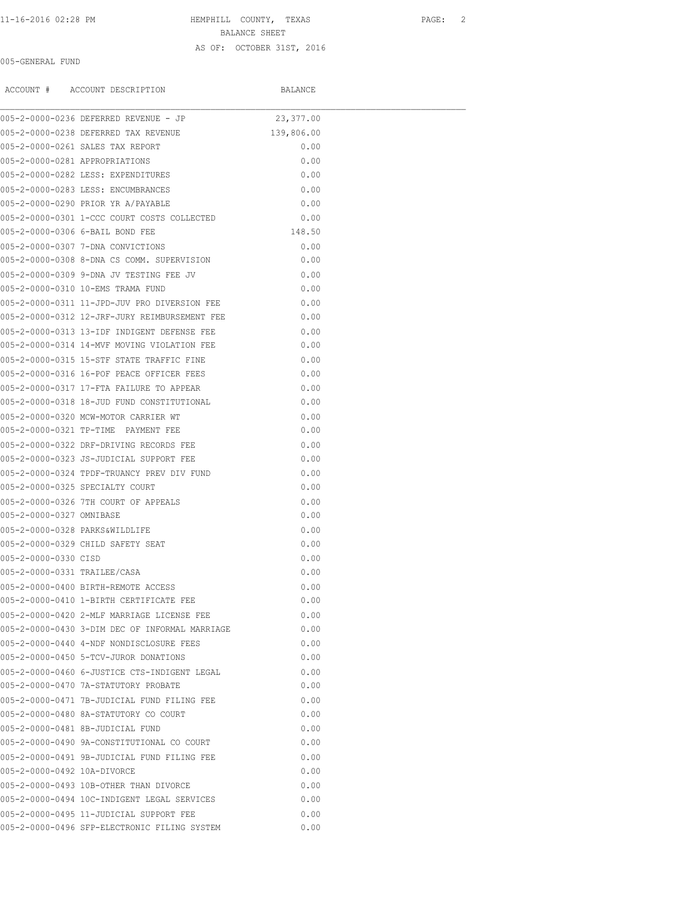# 11-16-2016 02:28 PM HEMPHILL COUNTY, TEXAS PAGE: 2 BALANCE SHEET AS OF: OCTOBER 31ST, 2016

### 005-GENERAL FUND

|                                | ACCOUNT # ACCOUNT DESCRIPTION                     | BALANCE    |  |
|--------------------------------|---------------------------------------------------|------------|--|
|                                | 005-2-0000-0236 DEFERRED REVENUE - JP             | 23,377.00  |  |
|                                | 005-2-0000-0238 DEFERRED TAX REVENUE              | 139,806.00 |  |
|                                | 005-2-0000-0261 SALES TAX REPORT                  | 0.00       |  |
| 005-2-0000-0281 APPROPRIATIONS |                                                   | 0.00       |  |
|                                | 005-2-0000-0282 LESS: EXPENDITURES                | 0.00       |  |
|                                | 005-2-0000-0283 LESS: ENCUMBRANCES                | 0.00       |  |
|                                | 005-2-0000-0290 PRIOR YR A/PAYABLE                | 0.00       |  |
|                                | 005-2-0000-0301 1-CCC COURT COSTS COLLECTED       | 0.00       |  |
|                                | 005-2-0000-0306 6-BAIL BOND FEE                   | 148.50     |  |
|                                | 005-2-0000-0307 7-DNA CONVICTIONS                 | 0.00       |  |
|                                | 005-2-0000-0308 8-DNA CS COMM. SUPERVISION        | 0.00       |  |
|                                | 005-2-0000-0309 9-DNA JV TESTING FEE JV           | 0.00       |  |
|                                | 005-2-0000-0310 10-EMS TRAMA FUND                 | 0.00       |  |
|                                | 005-2-0000-0311 11-JPD-JUV PRO DIVERSION FEE 0.00 |            |  |
|                                | 005-2-0000-0312 12-JRF-JURY REIMBURSEMENT FEE     | 0.00       |  |
|                                | 005-2-0000-0313 13-IDF INDIGENT DEFENSE FEE       | 0.00       |  |
|                                | 005-2-0000-0314 14-MVF MOVING VIOLATION FEE       | 0.00       |  |
|                                | 005-2-0000-0315 15-STF STATE TRAFFIC FINE         | 0.00       |  |
|                                | 005-2-0000-0316 16-POF PEACE OFFICER FEES         | 0.00       |  |
|                                | 005-2-0000-0317 17-FTA FAILURE TO APPEAR          | 0.00       |  |
|                                | 005-2-0000-0318 18-JUD FUND CONSTITUTIONAL        | 0.00       |  |
|                                | 005-2-0000-0320 MCW-MOTOR CARRIER WT              | 0.00       |  |
|                                | 005-2-0000-0321 TP-TIME PAYMENT FEE               | 0.00       |  |
|                                | 005-2-0000-0322 DRF-DRIVING RECORDS FEE           | 0.00       |  |
|                                | 005-2-0000-0323 JS-JUDICIAL SUPPORT FEE           | 0.00       |  |
|                                | 005-2-0000-0324 TPDF-TRUANCY PREV DIV FUND        | 0.00       |  |
|                                | 005-2-0000-0325 SPECIALTY COURT                   | 0.00       |  |
|                                | 005-2-0000-0326 7TH COURT OF APPEALS              | 0.00       |  |
| 005-2-0000-0327 OMNIBASE       |                                                   | 0.00       |  |
|                                | 005-2-0000-0328 PARKS&WILDLIFE                    | 0.00       |  |
|                                | 005-2-0000-0329 CHILD SAFETY SEAT                 | 0.00       |  |
| 005-2-0000-0330 CISD           |                                                   | 0.00       |  |
| 005-2-0000-0331 TRAILEE/CASA   |                                                   | 0.00       |  |
|                                | 005-2-0000-0400 BIRTH-REMOTE ACCESS               | 0.00       |  |
|                                | 005-2-0000-0410 1-BIRTH CERTIFICATE FEE           | 0.00       |  |
|                                | 005-2-0000-0420 2-MLF MARRIAGE LICENSE FEE        | 0.00       |  |
|                                | 005-2-0000-0430 3-DIM DEC OF INFORMAL MARRIAGE    | 0.00       |  |
|                                | 005-2-0000-0440 4-NDF NONDISCLOSURE FEES          | 0.00       |  |
|                                | 005-2-0000-0450 5-TCV-JUROR DONATIONS             | 0.00       |  |
|                                | 005-2-0000-0460 6-JUSTICE CTS-INDIGENT LEGAL      | 0.00       |  |
|                                | 005-2-0000-0470 7A-STATUTORY PROBATE              | 0.00       |  |
|                                | 005-2-0000-0471 7B-JUDICIAL FUND FILING FEE       | 0.00       |  |
|                                | 005-2-0000-0480 8A-STATUTORY CO COURT             | 0.00       |  |
|                                | 005-2-0000-0481 8B-JUDICIAL FUND                  | 0.00       |  |
|                                | 005-2-0000-0490 9A-CONSTITUTIONAL CO COURT        | 0.00       |  |
|                                | 005-2-0000-0491 9B-JUDICIAL FUND FILING FEE       | 0.00       |  |
| 005-2-0000-0492 10A-DIVORCE    |                                                   | 0.00       |  |
|                                | 005-2-0000-0493 10B-OTHER THAN DIVORCE            | 0.00       |  |
|                                | 005-2-0000-0494 10C-INDIGENT LEGAL SERVICES       | 0.00       |  |
|                                | 005-2-0000-0495 11-JUDICIAL SUPPORT FEE           | 0.00       |  |

005-2-0000-0496 SFP-ELECTRONIC FILING SYSTEM 0.00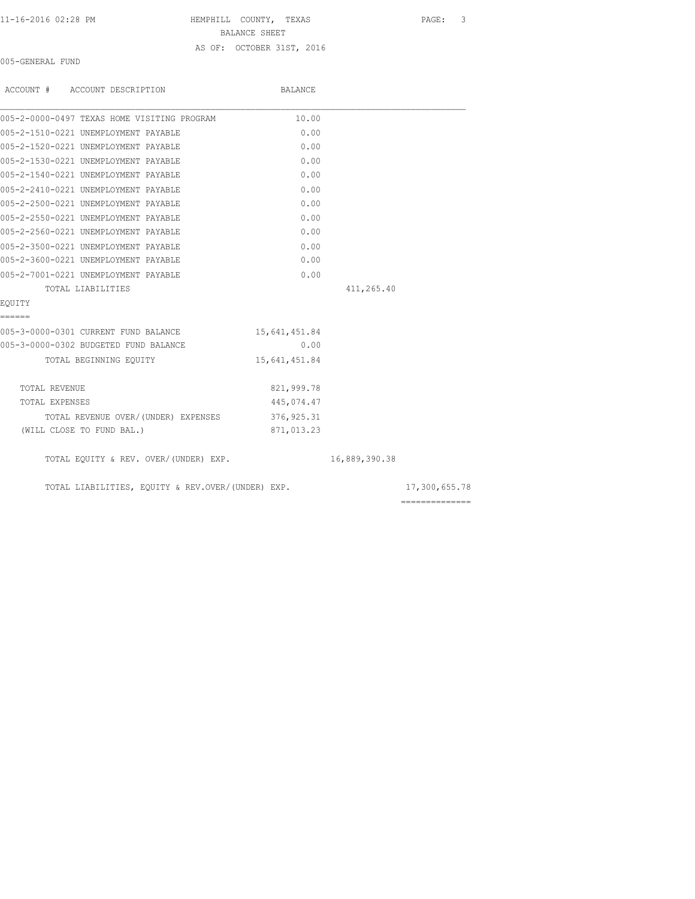11-16-2016 02:28 PM HEMPHILL COUNTY, TEXAS PAGE: 3 BALANCE SHEET AS OF: OCTOBER 31ST, 2016

005-GENERAL FUND

| ACCOUNT # ACCOUNT DESCRIPTION                     | BALANCE       |               |                                                                                                                                                                                                                                                                                                                                                                                                                                                                                        |
|---------------------------------------------------|---------------|---------------|----------------------------------------------------------------------------------------------------------------------------------------------------------------------------------------------------------------------------------------------------------------------------------------------------------------------------------------------------------------------------------------------------------------------------------------------------------------------------------------|
| 005-2-0000-0497 TEXAS HOME VISITING PROGRAM       | 10.00         |               |                                                                                                                                                                                                                                                                                                                                                                                                                                                                                        |
| 005-2-1510-0221 UNEMPLOYMENT PAYABLE              | 0.00          |               |                                                                                                                                                                                                                                                                                                                                                                                                                                                                                        |
| 005-2-1520-0221 UNEMPLOYMENT PAYABLE              | 0.00          |               |                                                                                                                                                                                                                                                                                                                                                                                                                                                                                        |
| 005-2-1530-0221 UNEMPLOYMENT PAYABLE              | 0.00          |               |                                                                                                                                                                                                                                                                                                                                                                                                                                                                                        |
| 005-2-1540-0221 UNEMPLOYMENT PAYABLE              | 0.00          |               |                                                                                                                                                                                                                                                                                                                                                                                                                                                                                        |
| 005-2-2410-0221 UNEMPLOYMENT PAYABLE              | 0.00          |               |                                                                                                                                                                                                                                                                                                                                                                                                                                                                                        |
| 005-2-2500-0221 UNEMPLOYMENT PAYABLE              | 0.00          |               |                                                                                                                                                                                                                                                                                                                                                                                                                                                                                        |
| 005-2-2550-0221 UNEMPLOYMENT PAYABLE              | 0.00          |               |                                                                                                                                                                                                                                                                                                                                                                                                                                                                                        |
| 005-2-2560-0221 UNEMPLOYMENT PAYABLE              | 0.00          |               |                                                                                                                                                                                                                                                                                                                                                                                                                                                                                        |
| 005-2-3500-0221 UNEMPLOYMENT PAYABLE              | 0.00          |               |                                                                                                                                                                                                                                                                                                                                                                                                                                                                                        |
| 005-2-3600-0221 UNEMPLOYMENT PAYABLE              | 0.00          |               |                                                                                                                                                                                                                                                                                                                                                                                                                                                                                        |
| 005-2-7001-0221 UNEMPLOYMENT PAYABLE              | 0.00          |               |                                                                                                                                                                                                                                                                                                                                                                                                                                                                                        |
| TOTAL LIABILITIES                                 |               | 411,265.40    |                                                                                                                                                                                                                                                                                                                                                                                                                                                                                        |
| EOUITY                                            |               |               |                                                                                                                                                                                                                                                                                                                                                                                                                                                                                        |
| ------                                            |               |               |                                                                                                                                                                                                                                                                                                                                                                                                                                                                                        |
| 005-3-0000-0301 CURRENT FUND BALANCE              | 15,641,451.84 |               |                                                                                                                                                                                                                                                                                                                                                                                                                                                                                        |
| 005-3-0000-0302 BUDGETED FUND BALANCE             | 0.00          |               |                                                                                                                                                                                                                                                                                                                                                                                                                                                                                        |
| TOTAL BEGINNING EOUITY                            | 15,641,451.84 |               |                                                                                                                                                                                                                                                                                                                                                                                                                                                                                        |
| TOTAL REVENUE                                     | 821,999.78    |               |                                                                                                                                                                                                                                                                                                                                                                                                                                                                                        |
| TOTAL EXPENSES                                    | 445,074.47    |               |                                                                                                                                                                                                                                                                                                                                                                                                                                                                                        |
| TOTAL REVENUE OVER/(UNDER) EXPENSES 376,925.31    |               |               |                                                                                                                                                                                                                                                                                                                                                                                                                                                                                        |
| (WILL CLOSE TO FUND BAL.)                         | 871,013.23    |               |                                                                                                                                                                                                                                                                                                                                                                                                                                                                                        |
| TOTAL EQUITY & REV. OVER/(UNDER) EXP.             |               | 16,889,390.38 |                                                                                                                                                                                                                                                                                                                                                                                                                                                                                        |
| TOTAL LIABILITIES, EQUITY & REV.OVER/(UNDER) EXP. |               |               | 17,300,655.78                                                                                                                                                                                                                                                                                                                                                                                                                                                                          |
|                                                   |               |               | $\begin{array}{cccccccccc} \multicolumn{2}{c}{} & \multicolumn{2}{c}{} & \multicolumn{2}{c}{} & \multicolumn{2}{c}{} & \multicolumn{2}{c}{} & \multicolumn{2}{c}{} & \multicolumn{2}{c}{} & \multicolumn{2}{c}{} & \multicolumn{2}{c}{} & \multicolumn{2}{c}{} & \multicolumn{2}{c}{} & \multicolumn{2}{c}{} & \multicolumn{2}{c}{} & \multicolumn{2}{c}{} & \multicolumn{2}{c}{} & \multicolumn{2}{c}{} & \multicolumn{2}{c}{} & \multicolumn{2}{c}{} & \multicolumn{2}{c}{} & \mult$ |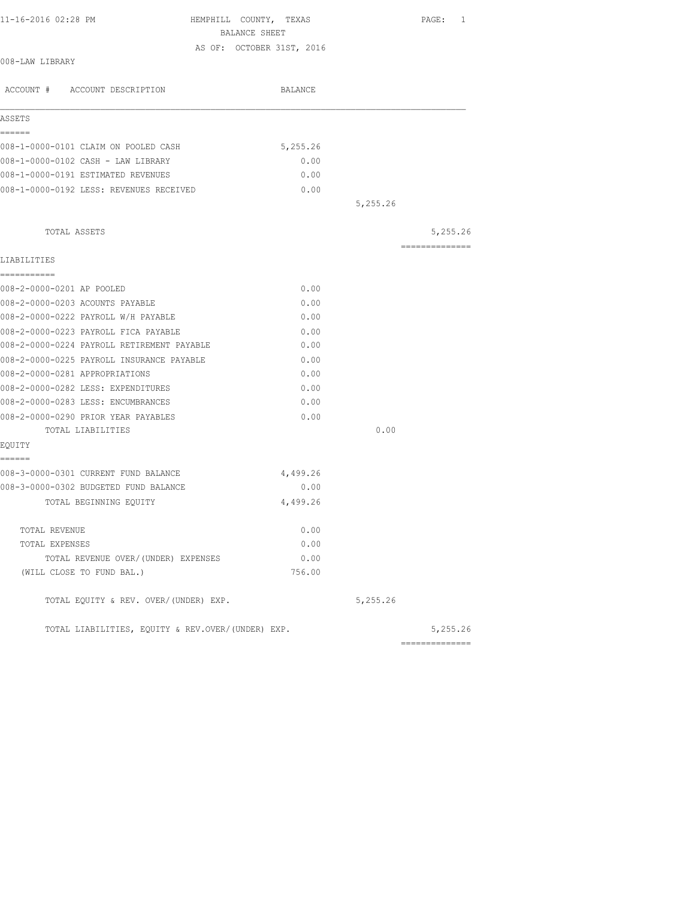| 11-16-2016 02:28 PM                                                                | HEMPHILL COUNTY, TEXAS                     |          | PAGE: 1         |
|------------------------------------------------------------------------------------|--------------------------------------------|----------|-----------------|
|                                                                                    | BALANCE SHEET<br>AS OF: OCTOBER 31ST, 2016 |          |                 |
| 008-LAW LIBRARY                                                                    |                                            |          |                 |
| ACCOUNT # ACCOUNT DESCRIPTION                                                      | BALANCE                                    |          |                 |
| ASSETS                                                                             |                                            |          |                 |
| ------                                                                             |                                            |          |                 |
| 008-1-0000-0101 CLAIM ON POOLED CASH                                               | 5,255.26                                   |          |                 |
| 008-1-0000-0102 CASH - LAW LIBRARY                                                 | 0.00                                       |          |                 |
| 008-1-0000-0191 ESTIMATED REVENUES                                                 | 0.00                                       |          |                 |
| 008-1-0000-0192 LESS: REVENUES RECEIVED                                            | 0.00                                       |          |                 |
|                                                                                    |                                            | 5,255.26 |                 |
| TOTAL ASSETS                                                                       |                                            |          | 5,255.26        |
| LIABILITIES                                                                        |                                            |          | --------------- |
| ------------                                                                       |                                            |          |                 |
| 008-2-0000-0201 AP POOLED                                                          | 0.00                                       |          |                 |
| 008-2-0000-0203 ACOUNTS PAYABLE<br>008-2-0000-0222 PAYROLL W/H PAYABLE             | 0.00<br>0.00                               |          |                 |
|                                                                                    |                                            |          |                 |
| 008-2-0000-0223 PAYROLL FICA PAYABLE<br>008-2-0000-0224 PAYROLL RETIREMENT PAYABLE | 0.00<br>0.00                               |          |                 |
| 008-2-0000-0225 PAYROLL INSURANCE PAYABLE                                          | 0.00                                       |          |                 |
| 008-2-0000-0281 APPROPRIATIONS                                                     | 0.00                                       |          |                 |
| 008-2-0000-0282 LESS: EXPENDITURES                                                 | 0.00                                       |          |                 |
| 008-2-0000-0283 LESS: ENCUMBRANCES                                                 | 0.00                                       |          |                 |
| 008-2-0000-0290 PRIOR YEAR PAYABLES                                                | 0.00                                       |          |                 |
| TOTAL LIABILITIES                                                                  |                                            | 0.00     |                 |
| EQUITY                                                                             |                                            |          |                 |
| ======<br>008-3-0000-0301 CURRENT FUND BALANCE                                     | 4,499.26                                   |          |                 |
| 008-3-0000-0302 BUDGETED FUND BALANCE                                              | 0.00                                       |          |                 |
| TOTAL BEGINNING EOUITY                                                             | 4,499.26                                   |          |                 |
| TOTAL REVENUE                                                                      | 0.00                                       |          |                 |
| TOTAL EXPENSES                                                                     | 0.00                                       |          |                 |
| TOTAL REVENUE OVER/(UNDER) EXPENSES                                                | 0.00                                       |          |                 |
| (WILL CLOSE TO FUND BAL.)                                                          | 756.00                                     |          |                 |
| TOTAL EQUITY & REV. OVER/(UNDER) EXP.                                              |                                            | 5,255.26 |                 |
| TOTAL LIABILITIES, EOUITY & REV.OVER/(UNDER) EXP.                                  |                                            |          | 5,255.26        |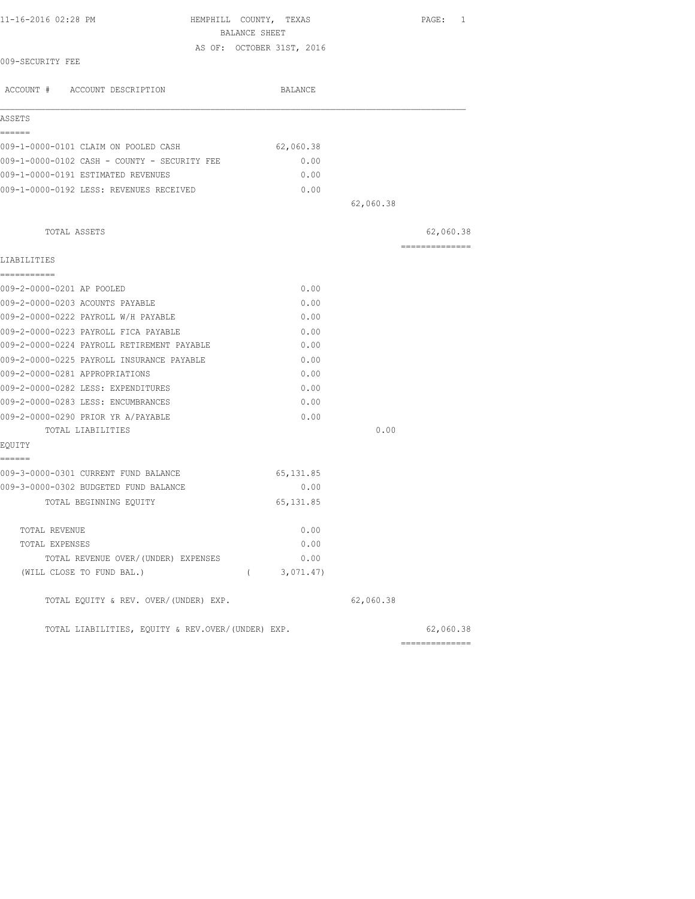| 11-16-2016 02:28 PM                                                           | HEMPHILL COUNTY, TEXAS<br>BALANCE SHEET |           | PAGE: 1        |
|-------------------------------------------------------------------------------|-----------------------------------------|-----------|----------------|
|                                                                               | AS OF: OCTOBER 31ST, 2016               |           |                |
| 009-SECURITY FEE                                                              |                                         |           |                |
| ACCOUNT # ACCOUNT DESCRIPTION                                                 | BALANCE                                 |           |                |
| ASSETS                                                                        |                                         |           |                |
| ======                                                                        |                                         |           |                |
| 009-1-0000-0101 CLAIM ON POOLED CASH                                          | 62,060.38                               |           |                |
| 009-1-0000-0102 CASH - COUNTY - SECURITY FEE                                  | 0.00                                    |           |                |
| 009-1-0000-0191 ESTIMATED REVENUES<br>009-1-0000-0192 LESS: REVENUES RECEIVED | 0.00<br>0.00                            |           |                |
|                                                                               |                                         | 62,060.38 |                |
|                                                                               |                                         |           |                |
| TOTAL ASSETS                                                                  |                                         |           | 62,060.38      |
| LIABILITIES                                                                   |                                         |           | -------------- |
| -----------<br>009-2-0000-0201 AP POOLED                                      | 0.00                                    |           |                |
| 009-2-0000-0203 ACOUNTS PAYABLE                                               | 0.00                                    |           |                |
| 009-2-0000-0222 PAYROLL W/H PAYABLE                                           | 0.00                                    |           |                |
| 009-2-0000-0223 PAYROLL FICA PAYABLE                                          | 0.00                                    |           |                |
| 009-2-0000-0224 PAYROLL RETIREMENT PAYABLE                                    | 0.00                                    |           |                |
| 009-2-0000-0225 PAYROLL INSURANCE PAYABLE                                     | 0.00                                    |           |                |
| 009-2-0000-0281 APPROPRIATIONS                                                | 0.00                                    |           |                |
| 009-2-0000-0282 LESS: EXPENDITURES                                            | 0.00                                    |           |                |
| 009-2-0000-0283 LESS: ENCUMBRANCES                                            | 0.00                                    |           |                |
| 009-2-0000-0290 PRIOR YR A/PAYABLE                                            | 0.00                                    |           |                |
| TOTAL LIABILITIES                                                             |                                         | 0.00      |                |
| EQUITY                                                                        |                                         |           |                |
| ------<br>009-3-0000-0301 CURRENT FUND BALANCE                                | 65, 131.85                              |           |                |
| 009-3-0000-0302 BUDGETED FUND BALANCE                                         | 0.00                                    |           |                |
| TOTAL BEGINNING EQUITY                                                        | 65, 131.85                              |           |                |
| TOTAL REVENUE                                                                 | 0.00                                    |           |                |
| TOTAL EXPENSES                                                                | 0.00                                    |           |                |
| TOTAL REVENUE OVER/(UNDER) EXPENSES                                           | 0.00                                    |           |                |
| (WILL CLOSE TO FUND BAL.)                                                     | (3, 071.47)                             |           |                |
| TOTAL EQUITY & REV. OVER/(UNDER) EXP.                                         |                                         | 62,060.38 |                |
| TOTAL LIABILITIES, EQUITY & REV.OVER/(UNDER) EXP.                             |                                         |           | 62,060.38      |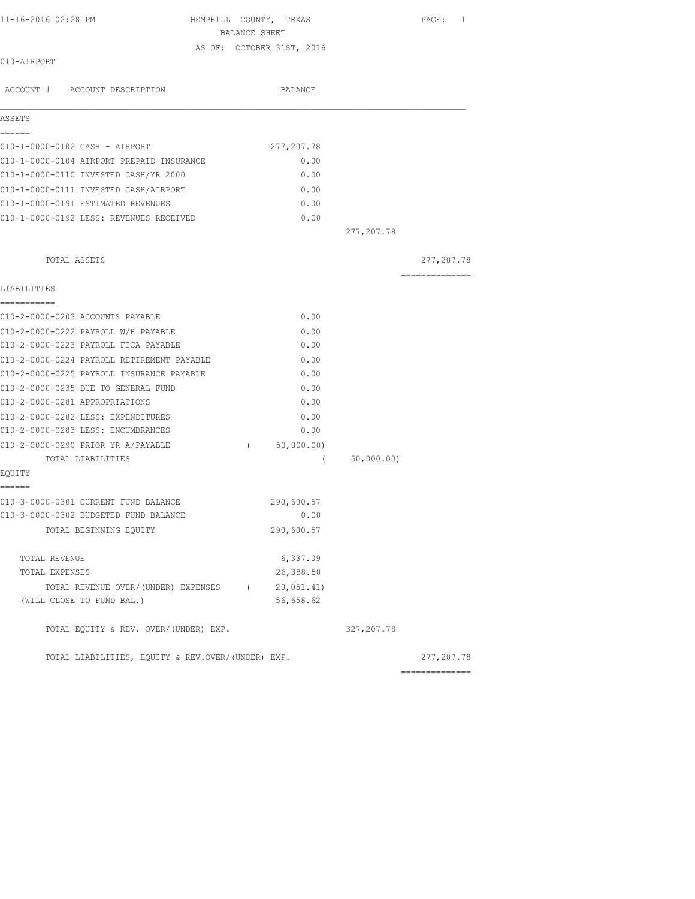HEMPHILL COUNTY, TEXAS PAGE: 1 BALANCE SHEET AS OF: OCTOBER 31ST, 2016

010-AIRPORT

| ACCOUNT # ACCOUNT DESCRIPTION                     | BALANCE                  |            |                |
|---------------------------------------------------|--------------------------|------------|----------------|
| ASSETS                                            |                          |            |                |
| ======                                            |                          |            |                |
| 010-1-0000-0102 CASH - AIRPORT                    | 277, 207. 78             |            |                |
| 010-1-0000-0104 AIRPORT PREPAID INSURANCE         | 0.00                     |            |                |
| 010-1-0000-0110 INVESTED CASH/YR 2000             | 0.00                     |            |                |
| 010-1-0000-0111 INVESTED CASH/AIRPORT             | 0.00                     |            |                |
| 010-1-0000-0191 ESTIMATED REVENUES                | 0.00                     |            |                |
| 010-1-0000-0192 LESS: REVENUES RECEIVED           | 0.00                     | 277,207.78 |                |
| TOTAL ASSETS                                      |                          |            | 277, 207. 78   |
|                                                   |                          |            | ============== |
| LIABILITIES                                       |                          |            |                |
| ===========                                       |                          |            |                |
| 010-2-0000-0203 ACCOUNTS PAYABLE                  | 0.00                     |            |                |
| 010-2-0000-0222 PAYROLL W/H PAYABLE               | 0.00                     |            |                |
| 010-2-0000-0223 PAYROLL FICA PAYABLE              | 0.00                     |            |                |
| 010-2-0000-0224 PAYROLL RETIREMENT PAYABLE        | 0.00                     |            |                |
| 010-2-0000-0225 PAYROLL INSURANCE PAYABLE         | 0.00                     |            |                |
| 010-2-0000-0235 DUE TO GENERAL FUND               | 0.00                     |            |                |
| 010-2-0000-0281 APPROPRIATIONS                    | 0.00                     |            |                |
| 010-2-0000-0282 LESS: EXPENDITURES                | 0.00                     |            |                |
| 010-2-0000-0283 LESS: ENCUMBRANCES                | 0.00                     |            |                |
| 010-2-0000-0290 PRIOR YR A/PAYABLE                | 50,000.00)<br>$\left($   |            |                |
| TOTAL LIABILITIES                                 | $\left($                 | 50,000.00) |                |
| EQUITY<br>======                                  |                          |            |                |
| 010-3-0000-0301 CURRENT FUND BALANCE              | 290,600.57               |            |                |
| 010-3-0000-0302 BUDGETED FUND BALANCE             | 0.00                     |            |                |
| TOTAL BEGINNING EQUITY                            | 290,600.57               |            |                |
| TOTAL REVENUE                                     | 6,337.09                 |            |                |
| TOTAL EXPENSES                                    | 26,388.50                |            |                |
| TOTAL REVENUE OVER/ (UNDER) EXPENSES              | $\sqrt{2}$<br>20,051.41) |            |                |
| (WILL CLOSE TO FUND BAL.)                         | 56,658.62                |            |                |
| TOTAL EQUITY & REV. OVER/(UNDER) EXP.             |                          | 327,207.78 |                |
| TOTAL LIABILITIES, EQUITY & REV.OVER/(UNDER) EXP. |                          |            | 277, 207. 78   |
|                                                   |                          |            | -----------    |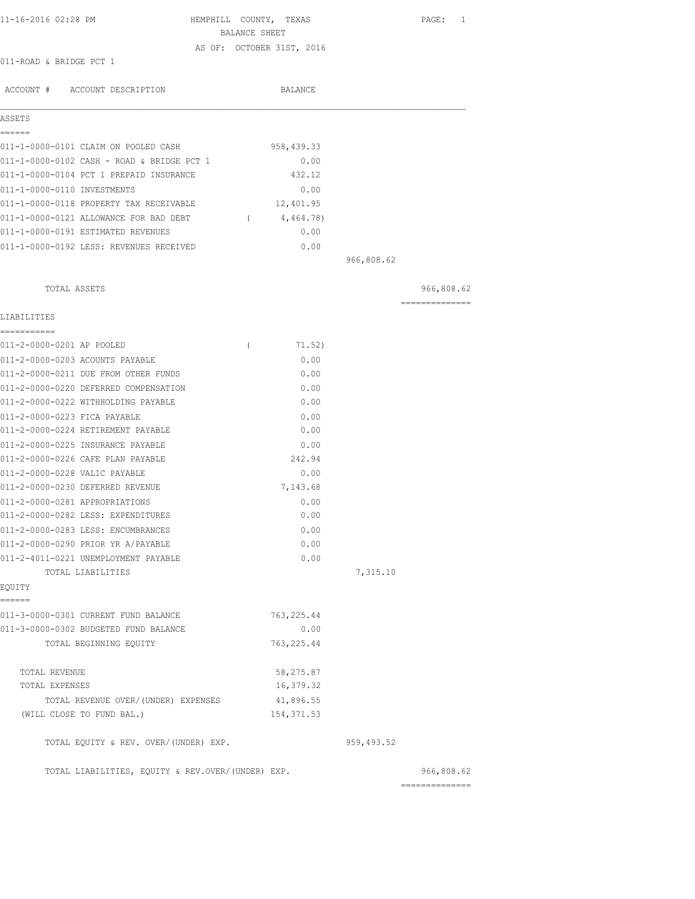| 11-16-2016 02:28 PM |                         |                     | HEMPHILL COUNTY, TEXAS |                           | PAGE: 1 |  |
|---------------------|-------------------------|---------------------|------------------------|---------------------------|---------|--|
|                     |                         |                     | BALANCE SHEET          |                           |         |  |
|                     | 011-ROAD & BRIDGE PCT 1 |                     |                        | AS OF: OCTOBER 31ST, 2016 |         |  |
| ACCOUNT #           |                         | ACCOUNT DESCRIPTION |                        | BALANCE                   |         |  |

| ASSETS                      |                                            |             |            |  |
|-----------------------------|--------------------------------------------|-------------|------------|--|
|                             |                                            |             |            |  |
|                             | 011-1-0000-0101 CLAIM ON POOLED CASH       | 958, 439.33 |            |  |
|                             | 011-1-0000-0102 CASH - ROAD & BRIDGE PCT 1 | 0.00        |            |  |
|                             | 011-1-0000-0104 PCT 1 PREPAID INSURANCE    | 432.12      |            |  |
| 011-1-0000-0110 INVESTMENTS |                                            | 0.00        |            |  |
|                             | 011-1-0000-0118 PROPERTY TAX RECEIVABLE    | 12,401.95   |            |  |
|                             | 011-1-0000-0121 ALLOWANCE FOR BAD DEBT     | 4,464.78)   |            |  |
|                             | 011-1-0000-0191 ESTIMATED REVENUES         | 0.00        |            |  |
|                             | 011-1-0000-0192 LESS: REVENUES RECEIVED    | 0.00        |            |  |
|                             |                                            |             | 966,808.62 |  |

| TOTAL ASSETS                                      |             |            | 966,808.62     |
|---------------------------------------------------|-------------|------------|----------------|
|                                                   |             |            | -------------- |
| LIABILITIES                                       |             |            |                |
| ------------                                      |             |            |                |
| 011-2-0000-0201 AP POOLED<br>$\left($             | 71.52)      |            |                |
| 011-2-0000-0203 ACOUNTS PAYABLE                   | 0.00        |            |                |
| 011-2-0000-0211 DUE FROM OTHER FUNDS              | 0.00        |            |                |
| 011-2-0000-0220 DEFERRED COMPENSATION             | 0.00        |            |                |
| 011-2-0000-0222 WITHHOLDING PAYABLE               | 0.00        |            |                |
| 011-2-0000-0223 FICA PAYABLE                      | 0.00        |            |                |
| 011-2-0000-0224 RETIREMENT PAYABLE                | 0.00        |            |                |
| 011-2-0000-0225 INSURANCE PAYABLE                 | 0.00        |            |                |
| 011-2-0000-0226 CAFE PLAN PAYABLE                 | 242.94      |            |                |
| 011-2-0000-0228 VALIC PAYABLE                     | 0.00        |            |                |
| 011-2-0000-0230 DEFERRED REVENUE                  | 7,143.68    |            |                |
| 011-2-0000-0281 APPROPRIATIONS                    | 0.00        |            |                |
| 011-2-0000-0282 LESS: EXPENDITURES                | 0.00        |            |                |
| 011-2-0000-0283 LESS: ENCUMBRANCES                | 0.00        |            |                |
| 011-2-0000-0290 PRIOR YR A/PAYABLE                | 0.00        |            |                |
| 011-2-4011-0221 UNEMPLOYMENT PAYABLE              | 0.00        |            |                |
| TOTAL LIABILITIES                                 |             | 7,315.10   |                |
| EOUITY                                            |             |            |                |
| ------                                            |             |            |                |
| 011-3-0000-0301 CURRENT FUND BALANCE              | 763, 225.44 |            |                |
| 011-3-0000-0302 BUDGETED FUND BALANCE             | 0.00        |            |                |
| TOTAL BEGINNING EQUITY                            | 763, 225.44 |            |                |
| TOTAL REVENUE                                     | 58,275.87   |            |                |
| TOTAL EXPENSES                                    | 16,379.32   |            |                |
| TOTAL REVENUE OVER/(UNDER) EXPENSES               | 41,896.55   |            |                |
| (WILL CLOSE TO FUND BAL.)                         | 154, 371.53 |            |                |
| TOTAL EQUITY & REV. OVER/(UNDER) EXP.             |             | 959,493.52 |                |
| TOTAL LIABILITIES, EQUITY & REV.OVER/(UNDER) EXP. |             |            | 966,808.62     |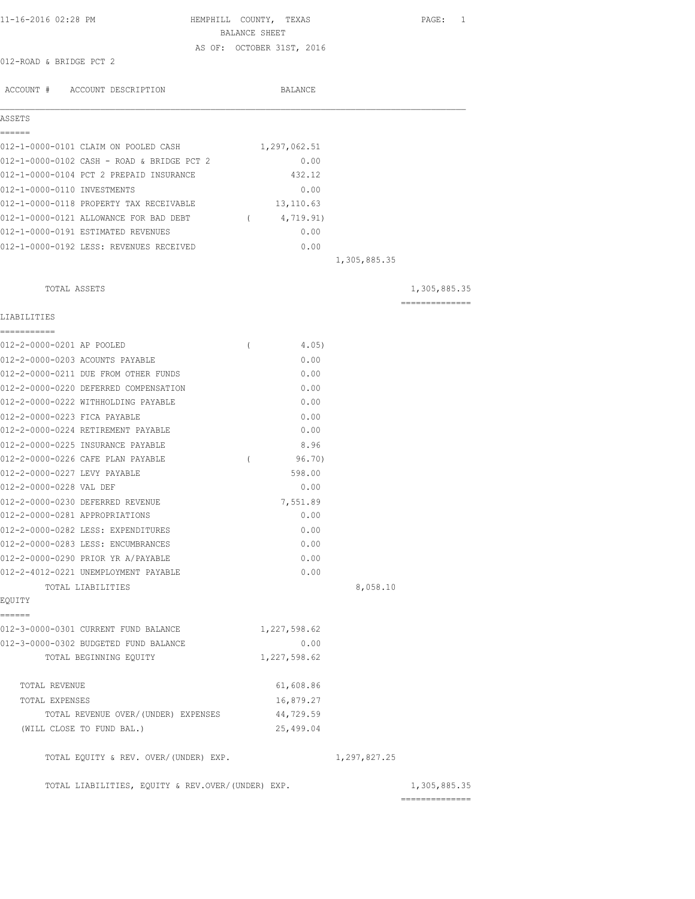| 11-16-2016 02:28 PM                                                        | HEMPHILL COUNTY, TEXAS<br>BALANCE SHEET |              | PAGE: 1        |
|----------------------------------------------------------------------------|-----------------------------------------|--------------|----------------|
|                                                                            | AS OF: OCTOBER 31ST, 2016               |              |                |
| 012-ROAD & BRIDGE PCT 2                                                    |                                         |              |                |
| ACCOUNT # ACCOUNT DESCRIPTION                                              | BALANCE                                 |              |                |
| ASSETS                                                                     |                                         |              |                |
| ======                                                                     |                                         |              |                |
| 012-1-0000-0101 CLAIM ON POOLED CASH                                       | 1,297,062.51                            |              |                |
| 012-1-0000-0102 CASH - ROAD & BRIDGE PCT 2                                 | 0.00                                    |              |                |
| 012-1-0000-0104 PCT 2 PREPAID INSURANCE                                    | 432.12                                  |              |                |
| 012-1-0000-0110 INVESTMENTS                                                | 0.00                                    |              |                |
| 012-1-0000-0118 PROPERTY TAX RECEIVABLE                                    | 13,110.63                               |              |                |
| 012-1-0000-0121 ALLOWANCE FOR BAD DEBT                                     | $\overline{a}$<br>4,719.91)             |              |                |
| 012-1-0000-0191 ESTIMATED REVENUES                                         | 0.00                                    |              |                |
| 012-1-0000-0192 LESS: REVENUES RECEIVED                                    | 0.00                                    |              |                |
|                                                                            |                                         | 1,305,885.35 |                |
| TOTAL ASSETS                                                               |                                         |              | 1,305,885.35   |
| LIABILITIES                                                                |                                         |              | ============== |
| ===========                                                                |                                         |              |                |
| 012-2-0000-0201 AP POOLED                                                  | 4.05)<br>$\left($                       |              |                |
| 012-2-0000-0203 ACOUNTS PAYABLE                                            | 0.00                                    |              |                |
| 012-2-0000-0211 DUE FROM OTHER FUNDS                                       | 0.00                                    |              |                |
| 012-2-0000-0220 DEFERRED COMPENSATION                                      | 0.00                                    |              |                |
| 012-2-0000-0222 WITHHOLDING PAYABLE                                        | 0.00                                    |              |                |
| 012-2-0000-0223 FICA PAYABLE                                               | 0.00                                    |              |                |
| 012-2-0000-0224 RETIREMENT PAYABLE                                         | 0.00                                    |              |                |
| 012-2-0000-0225 INSURANCE PAYABLE                                          | 8.96                                    |              |                |
| 012-2-0000-0226 CAFE PLAN PAYABLE                                          | 96.70)<br>$\left($                      |              |                |
| 012-2-0000-0227 LEVY PAYABLE                                               | 598.00                                  |              |                |
| 012-2-0000-0228 VAL DEF                                                    | 0.00                                    |              |                |
| 012-2-0000-0230 DEFERRED REVENUE                                           | 7,551.89                                |              |                |
| 012-2-0000-0281 APPROPRIATIONS                                             | 0.00                                    |              |                |
| 012-2-0000-0282 LESS: EXPENDITURES                                         | 0.00<br>0.00                            |              |                |
| 012-2-0000-0283 LESS: ENCUMBRANCES                                         |                                         |              |                |
| 012-2-0000-0290 PRIOR YR A/PAYABLE<br>012-2-4012-0221 UNEMPLOYMENT PAYABLE | 0.00<br>0.00                            |              |                |
| TOTAL LIABILITIES                                                          |                                         | 8,058.10     |                |
| EQUITY                                                                     |                                         |              |                |
| ======<br>012-3-0000-0301 CURRENT FUND BALANCE                             | 1,227,598.62                            |              |                |
| 012-3-0000-0302 BUDGETED FUND BALANCE                                      | 0.00                                    |              |                |
| TOTAL BEGINNING EQUITY                                                     | 1,227,598.62                            |              |                |
| TOTAL REVENUE                                                              | 61,608.86                               |              |                |
| TOTAL EXPENSES                                                             | 16,879.27                               |              |                |
| TOTAL REVENUE OVER/(UNDER) EXPENSES                                        | 44,729.59                               |              |                |
| (WILL CLOSE TO FUND BAL.)                                                  | 25,499.04                               |              |                |
| TOTAL EQUITY & REV. OVER/(UNDER) EXP.                                      |                                         | 1,297,827.25 |                |
| TOTAL LIABILITIES, EQUITY & REV.OVER/(UNDER) EXP.                          |                                         |              | 1,305,885.35   |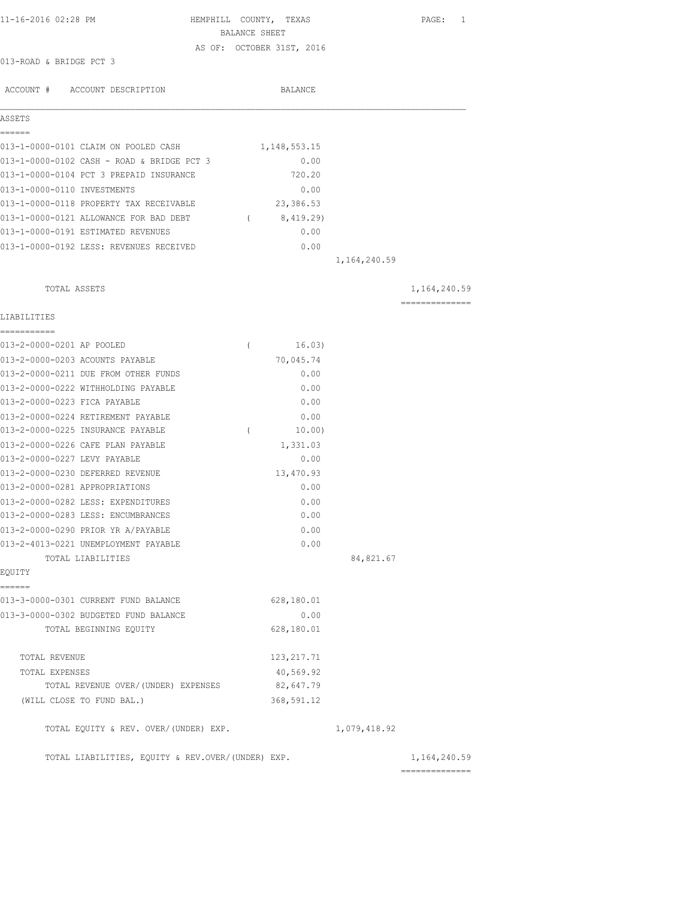| 11-16-2016 02:28 PM                                                      |               | HEMPHILL COUNTY, TEXAS    |                | PAGE: 1        |
|--------------------------------------------------------------------------|---------------|---------------------------|----------------|----------------|
|                                                                          | BALANCE SHEET | AS OF: OCTOBER 31ST, 2016 |                |                |
| 013-ROAD & BRIDGE PCT 3                                                  |               |                           |                |                |
|                                                                          |               |                           |                |                |
| ACCOUNT # ACCOUNT DESCRIPTION                                            |               | BALANCE                   |                |                |
| ASSETS                                                                   |               |                           |                |                |
| ======<br>013-1-0000-0101 CLAIM ON POOLED CASH                           |               | 1,148,553.15              |                |                |
| 013-1-0000-0102 CASH - ROAD & BRIDGE PCT 3                               |               | 0.00                      |                |                |
| 013-1-0000-0104 PCT 3 PREPAID INSURANCE                                  |               | 720.20                    |                |                |
| 013-1-0000-0110 INVESTMENTS                                              |               | 0.00                      |                |                |
| 013-1-0000-0118 PROPERTY TAX RECEIVABLE                                  |               | 23,386.53                 |                |                |
| 013-1-0000-0121 ALLOWANCE FOR BAD DEBT                                   |               | (8, 419.29)               |                |                |
| 013-1-0000-0191 ESTIMATED REVENUES                                       |               | 0.00                      |                |                |
| 013-1-0000-0192 LESS: REVENUES RECEIVED                                  |               | 0.00                      |                |                |
|                                                                          |               |                           | 1,164,240.59   |                |
| TOTAL ASSETS                                                             |               |                           |                | 1,164,240.59   |
| LIABILITIES                                                              |               |                           |                | ============== |
| ===========                                                              |               |                           |                |                |
| 013-2-0000-0201 AP POOLED                                                | $\left($      | 16.03)                    |                |                |
| 013-2-0000-0203 ACOUNTS PAYABLE                                          |               | 70,045.74                 |                |                |
| 013-2-0000-0211 DUE FROM OTHER FUNDS                                     |               | 0.00                      |                |                |
| 013-2-0000-0222 WITHHOLDING PAYABLE                                      |               | 0.00                      |                |                |
| 013-2-0000-0223 FICA PAYABLE                                             |               | 0.00                      |                |                |
| 013-2-0000-0224 RETIREMENT PAYABLE                                       |               | 0.00                      |                |                |
| 013-2-0000-0225 INSURANCE PAYABLE                                        | $\left($      | 10.00)                    |                |                |
| 013-2-0000-0226 CAFE PLAN PAYABLE                                        |               | 1,331.03                  |                |                |
| 013-2-0000-0227 LEVY PAYABLE                                             |               | 0.00                      |                |                |
| 013-2-0000-0230 DEFERRED REVENUE<br>013-2-0000-0281 APPROPRIATIONS       |               | 13,470.93<br>0.00         |                |                |
|                                                                          |               |                           |                |                |
| 013-2-0000-0282 LESS: EXPENDITURES<br>013-2-0000-0283 LESS: ENCUMBRANCES |               | 0.00<br>0.00              |                |                |
| 013-2-0000-0290 PRIOR YR A/PAYABLE                                       |               | 0.00                      |                |                |
| 013-2-4013-0221 UNEMPLOYMENT PAYABLE                                     |               | 0.00                      |                |                |
| TOTAL LIABILITIES                                                        |               |                           | 84,821.67      |                |
| EQUITY                                                                   |               |                           |                |                |
| ======                                                                   |               |                           |                |                |
| 013-3-0000-0301 CURRENT FUND BALANCE                                     |               | 628,180.01                |                |                |
| 013-3-0000-0302 BUDGETED FUND BALANCE                                    |               | 0.00                      |                |                |
| TOTAL BEGINNING EQUITY                                                   |               | 628,180.01                |                |                |
| TOTAL REVENUE                                                            |               | 123, 217.71               |                |                |
| TOTAL EXPENSES                                                           |               | 40,569.92                 |                |                |
| TOTAL REVENUE OVER/(UNDER) EXPENSES                                      |               | 82,647.79                 |                |                |
| (WILL CLOSE TO FUND BAL.)                                                |               | 368,591.12                |                |                |
| TOTAL EQUITY & REV. OVER/(UNDER) EXP.                                    |               |                           | 1,079,418.92   |                |
| TOTAL LIABILITIES, EQUITY & REV.OVER/(UNDER) EXP.                        |               |                           | ============== | 1,164,240.59   |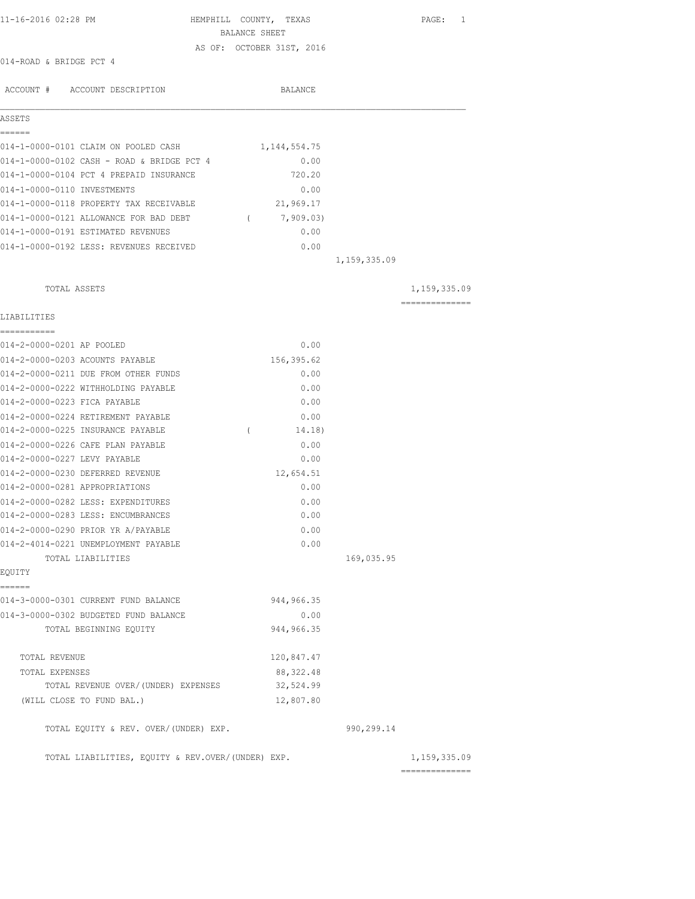| 11-16-2016 02:28 PM                               | HEMPHILL COUNTY, TEXAS<br>BALANCE SHEET |              | PAGE: 1        |
|---------------------------------------------------|-----------------------------------------|--------------|----------------|
|                                                   | AS OF: OCTOBER 31ST, 2016               |              |                |
| 014-ROAD & BRIDGE PCT 4                           |                                         |              |                |
| ACCOUNT # ACCOUNT DESCRIPTION                     | BALANCE                                 |              |                |
|                                                   |                                         |              |                |
| <b>ASSETS</b><br>======                           |                                         |              |                |
| 014-1-0000-0101 CLAIM ON POOLED CASH              | 1,144,554.75                            |              |                |
| 014-1-0000-0102 CASH - ROAD & BRIDGE PCT 4        | 0.00                                    |              |                |
| 014-1-0000-0104 PCT 4 PREPAID INSURANCE           | 720.20                                  |              |                |
| 014-1-0000-0110 INVESTMENTS                       | 0.00                                    |              |                |
| 014-1-0000-0118 PROPERTY TAX RECEIVABLE           | 21,969.17                               |              |                |
| 014-1-0000-0121 ALLOWANCE FOR BAD DEBT            | 7,909.03)<br>$\sqrt{2}$                 |              |                |
| 014-1-0000-0191 ESTIMATED REVENUES                | 0.00                                    |              |                |
| 014-1-0000-0192 LESS: REVENUES RECEIVED           | 0.00                                    |              |                |
|                                                   |                                         | 1,159,335.09 |                |
| TOTAL ASSETS                                      |                                         |              | 1,159,335.09   |
| LIABILITIES                                       |                                         |              | ============== |
|                                                   |                                         |              |                |
| 014-2-0000-0201 AP POOLED                         | 0.00                                    |              |                |
| 014-2-0000-0203 ACOUNTS PAYABLE                   | 156,395.62                              |              |                |
| 014-2-0000-0211 DUE FROM OTHER FUNDS              | 0.00                                    |              |                |
| 014-2-0000-0222 WITHHOLDING PAYABLE               | 0.00                                    |              |                |
| 014-2-0000-0223 FICA PAYABLE                      | 0.00                                    |              |                |
| 014-2-0000-0224 RETIREMENT PAYABLE                | 0.00                                    |              |                |
| 014-2-0000-0225 INSURANCE PAYABLE                 | $\left($<br>14.18)                      |              |                |
| 014-2-0000-0226 CAFE PLAN PAYABLE                 | 0.00                                    |              |                |
| 014-2-0000-0227 LEVY PAYABLE                      | 0.00                                    |              |                |
| 014-2-0000-0230 DEFERRED REVENUE                  | 12,654.51                               |              |                |
| 014-2-0000-0281 APPROPRIATIONS                    | 0.00                                    |              |                |
| 014-2-0000-0282 LESS: EXPENDITURES                | 0.00                                    |              |                |
| 014-2-0000-0283 LESS: ENCUMBRANCES                | 0.00                                    |              |                |
| 014-2-0000-0290 PRIOR YR A/PAYABLE                | 0.00                                    |              |                |
| 014-2-4014-0221 UNEMPLOYMENT PAYABLE              | 0.00                                    |              |                |
| TOTAL LIABILITIES                                 |                                         | 169,035.95   |                |
| EQUITY<br>------                                  |                                         |              |                |
| 014-3-0000-0301 CURRENT FUND BALANCE              | 944, 966.35                             |              |                |
| 014-3-0000-0302 BUDGETED FUND BALANCE             | 0.00                                    |              |                |
| TOTAL BEGINNING EQUITY                            | 944, 966.35                             |              |                |
| TOTAL REVENUE                                     | 120,847.47                              |              |                |
| TOTAL EXPENSES                                    | 88, 322.48                              |              |                |
| TOTAL REVENUE OVER/(UNDER) EXPENSES               | 32,524.99                               |              |                |
| (WILL CLOSE TO FUND BAL.)                         | 12,807.80                               |              |                |
| TOTAL EQUITY & REV. OVER/(UNDER) EXP.             |                                         | 990,299.14   |                |
| TOTAL LIABILITIES, EQUITY & REV.OVER/(UNDER) EXP. |                                         |              | 1, 159, 335.09 |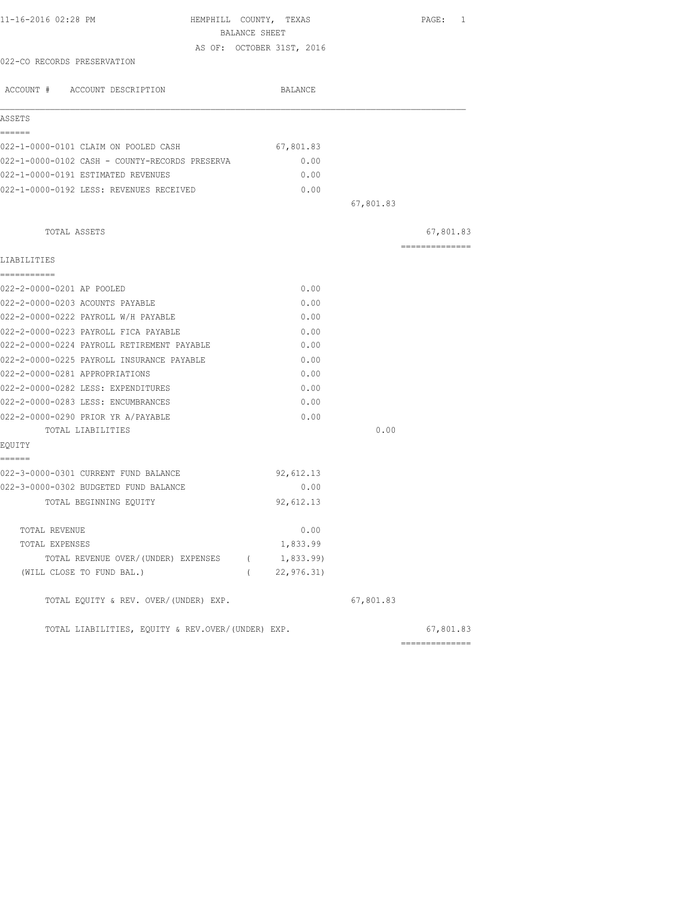| 11-16-2016 02:28 PM                               | HEMPHILL COUNTY, TEXAS    |           | PAGE: 1        |
|---------------------------------------------------|---------------------------|-----------|----------------|
|                                                   | BALANCE SHEET             |           |                |
|                                                   | AS OF: OCTOBER 31ST, 2016 |           |                |
| 022-CO RECORDS PRESERVATION                       |                           |           |                |
| ACCOUNT # ACCOUNT DESCRIPTION                     | BALANCE                   |           |                |
| ASSETS                                            |                           |           |                |
| ------                                            |                           |           |                |
| 022-1-0000-0101 CLAIM ON POOLED CASH              | 67,801.83                 |           |                |
| 022-1-0000-0102 CASH - COUNTY-RECORDS PRESERVA    | 0.00                      |           |                |
| 022-1-0000-0191 ESTIMATED REVENUES                | 0.00                      |           |                |
| 022-1-0000-0192 LESS: REVENUES RECEIVED           | 0.00                      |           |                |
|                                                   |                           | 67,801.83 |                |
| TOTAL ASSETS                                      |                           |           | 67,801.83      |
|                                                   |                           |           | ============== |
| LIABILITIES                                       |                           |           |                |
| ===========<br>022-2-0000-0201 AP POOLED          | 0.00                      |           |                |
| 022-2-0000-0203 ACOUNTS PAYABLE                   | 0.00                      |           |                |
| 022-2-0000-0222 PAYROLL W/H PAYABLE               | 0.00                      |           |                |
| 022-2-0000-0223 PAYROLL FICA PAYABLE              | 0.00                      |           |                |
| 022-2-0000-0224 PAYROLL RETIREMENT PAYABLE        | 0.00                      |           |                |
| 022-2-0000-0225 PAYROLL INSURANCE PAYABLE         | 0.00                      |           |                |
| 022-2-0000-0281 APPROPRIATIONS                    | 0.00                      |           |                |
| 022-2-0000-0282 LESS: EXPENDITURES                | 0.00                      |           |                |
| 022-2-0000-0283 LESS: ENCUMBRANCES                | 0.00                      |           |                |
| 022-2-0000-0290 PRIOR YR A/PAYABLE                | 0.00                      |           |                |
| TOTAL LIABILITIES                                 |                           | 0.00      |                |
| EQUITY                                            |                           |           |                |
| ======<br>022-3-0000-0301 CURRENT FUND BALANCE    | 92,612.13                 |           |                |
| 022-3-0000-0302 BUDGETED FUND BALANCE             | 0.00                      |           |                |
| TOTAL BEGINNING EOUITY                            | 92,612.13                 |           |                |
| TOTAL REVENUE                                     | 0.00                      |           |                |
| TOTAL EXPENSES                                    | 1,833.99                  |           |                |
| TOTAL REVENUE OVER/(UNDER) EXPENSES (1,833.99)    |                           |           |                |
| (WILL CLOSE TO FUND BAL.)                         | (22, 976.31)              |           |                |
| TOTAL EQUITY & REV. OVER/(UNDER) EXP.             |                           | 67,801.83 |                |
| TOTAL LIABILITIES, EQUITY & REV.OVER/(UNDER) EXP. |                           |           | 67,801.83      |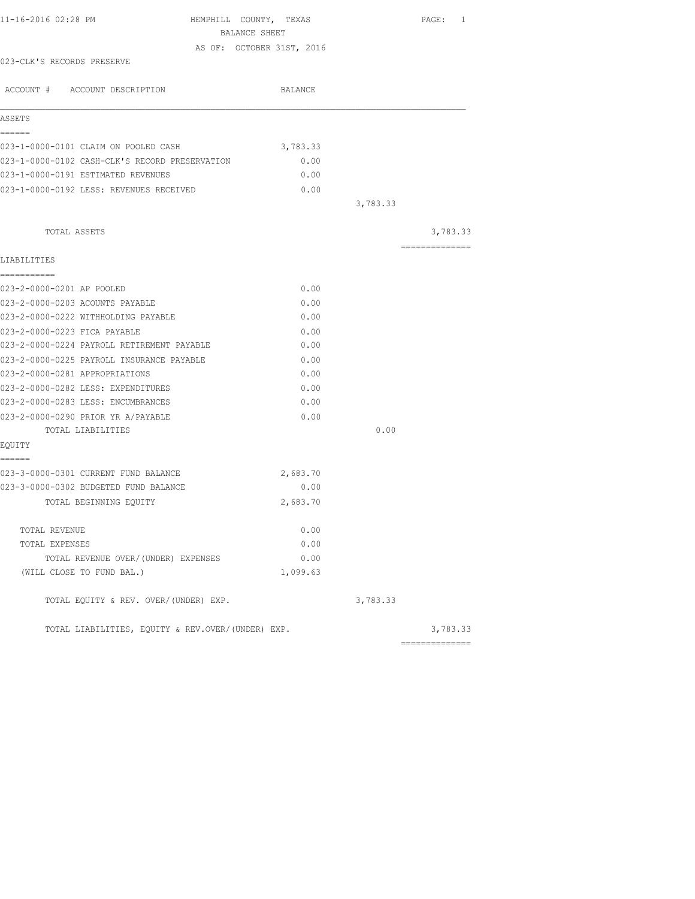| 11-16-2016 02:28 PM                               | HEMPHILL COUNTY, TEXAS<br>BALANCE SHEET |          | PAGE: 1        |
|---------------------------------------------------|-----------------------------------------|----------|----------------|
|                                                   | AS OF: OCTOBER 31ST, 2016               |          |                |
| 023-CLK'S RECORDS PRESERVE                        |                                         |          |                |
|                                                   |                                         |          |                |
| ACCOUNT # ACCOUNT DESCRIPTION                     | BALANCE                                 |          |                |
| ASSETS                                            |                                         |          |                |
| ======                                            |                                         |          |                |
| 023-1-0000-0101 CLAIM ON POOLED CASH              | 3,783.33                                |          |                |
| 023-1-0000-0102 CASH-CLK'S RECORD PRESERVATION    | 0.00                                    |          |                |
| 023-1-0000-0191 ESTIMATED REVENUES                | 0.00                                    |          |                |
| 023-1-0000-0192 LESS: REVENUES RECEIVED           | 0.00                                    |          |                |
|                                                   |                                         | 3,783.33 |                |
| TOTAL ASSETS                                      |                                         |          | 3,783.33       |
|                                                   |                                         |          | ============== |
| LIABILITIES<br>-----------                        |                                         |          |                |
| 023-2-0000-0201 AP POOLED                         | 0.00                                    |          |                |
| 023-2-0000-0203 ACOUNTS PAYABLE                   | 0.00                                    |          |                |
| 023-2-0000-0222 WITHHOLDING PAYABLE               | 0.00                                    |          |                |
| 023-2-0000-0223 FICA PAYABLE                      | 0.00                                    |          |                |
| 023-2-0000-0224 PAYROLL RETIREMENT PAYABLE        | 0.00                                    |          |                |
| 023-2-0000-0225 PAYROLL INSURANCE PAYABLE         | 0.00                                    |          |                |
| 023-2-0000-0281 APPROPRIATIONS                    | 0.00                                    |          |                |
| 023-2-0000-0282 LESS: EXPENDITURES                | 0.00                                    |          |                |
| 023-2-0000-0283 LESS: ENCUMBRANCES                | 0.00                                    |          |                |
| 023-2-0000-0290 PRIOR YR A/PAYABLE                | 0.00                                    |          |                |
| TOTAL LIABILITIES                                 |                                         | 0.00     |                |
| EQUITY                                            |                                         |          |                |
| ======<br>023-3-0000-0301 CURRENT FUND BALANCE    | 2,683.70                                |          |                |
| 023-3-0000-0302 BUDGETED FUND BALANCE             | 0.00                                    |          |                |
| TOTAL BEGINNING EQUITY                            | 2,683.70                                |          |                |
| TOTAL REVENUE                                     | 0.00                                    |          |                |
| TOTAL EXPENSES                                    | 0.00                                    |          |                |
| TOTAL REVENUE OVER/(UNDER) EXPENSES               | 0.00                                    |          |                |
| (WILL CLOSE TO FUND BAL.)                         | 1,099.63                                |          |                |
| TOTAL EQUITY & REV. OVER/(UNDER) EXP.             |                                         | 3,783.33 |                |
| TOTAL LIABILITIES, EQUITY & REV.OVER/(UNDER) EXP. |                                         |          | 3,783.33       |
|                                                   |                                         |          | ============== |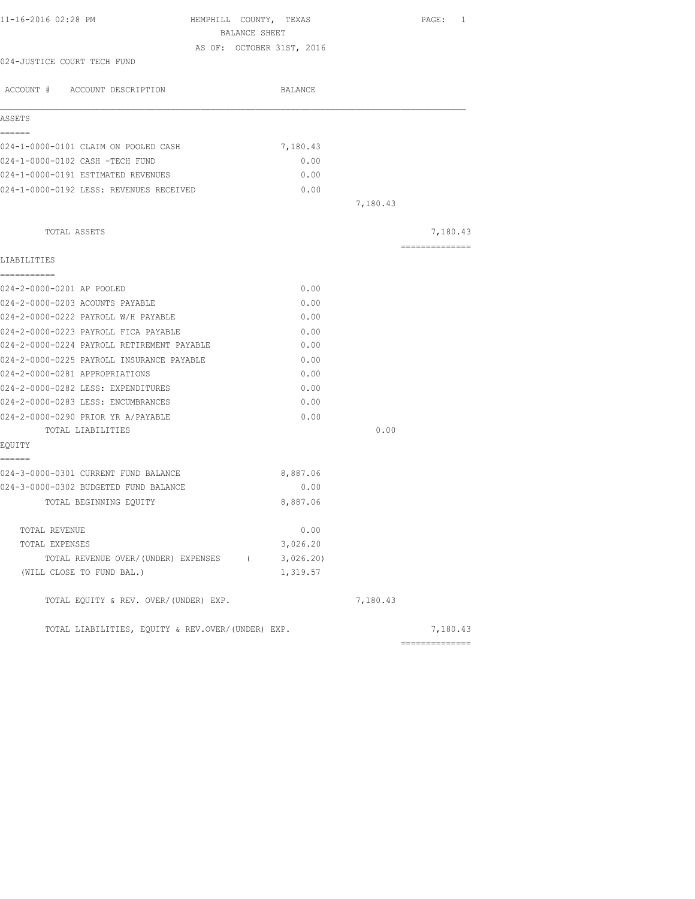| BALANCE SHEET<br>AS OF: OCTOBER 31ST, 2016<br>024-JUSTICE COURT TECH FUND<br>ACCOUNT # ACCOUNT DESCRIPTION<br>BALANCE<br>ASSETS<br>======<br>024-1-0000-0101 CLAIM ON POOLED CASH<br>7,180.43<br>024-1-0000-0102 CASH -TECH FUND<br>0.00<br>024-1-0000-0191 ESTIMATED REVENUES<br>0.00<br>024-1-0000-0192 LESS: REVENUES RECEIVED<br>0.00<br>7,180.43<br>TOTAL ASSETS<br>---------------<br>LIABILITIES<br>===========<br>024-2-0000-0201 AP POOLED<br>0.00<br>024-2-0000-0203 ACOUNTS PAYABLE<br>0.00<br>024-2-0000-0222 PAYROLL W/H PAYABLE<br>0.00<br>024-2-0000-0223 PAYROLL FICA PAYABLE<br>0.00<br>024-2-0000-0224 PAYROLL RETIREMENT PAYABLE<br>0.00<br>024-2-0000-0225 PAYROLL INSURANCE PAYABLE<br>0.00<br>024-2-0000-0281 APPROPRIATIONS<br>0.00<br>024-2-0000-0282 LESS: EXPENDITURES<br>0.00<br>024-2-0000-0283 LESS: ENCUMBRANCES<br>0.00<br>024-2-0000-0290 PRIOR YR A/PAYABLE<br>0.00<br>0.00<br>TOTAL LIABILITIES<br>EOUITY<br>======<br>024-3-0000-0301 CURRENT FUND BALANCE<br>8,887.06<br>024-3-0000-0302 BUDGETED FUND BALANCE<br>0.00<br>8,887.06<br>TOTAL BEGINNING EQUITY<br>0.00<br>TOTAL REVENUE<br>3,026.20<br>TOTAL EXPENSES<br>3,026.20<br>TOTAL REVENUE OVER/(UNDER) EXPENSES (<br>(WILL CLOSE TO FUND BAL.)<br>1,319.57 | 11-16-2016 02:28 PM | HEMPHILL COUNTY, TEXAS |  | PAGE: 1  |  |
|-------------------------------------------------------------------------------------------------------------------------------------------------------------------------------------------------------------------------------------------------------------------------------------------------------------------------------------------------------------------------------------------------------------------------------------------------------------------------------------------------------------------------------------------------------------------------------------------------------------------------------------------------------------------------------------------------------------------------------------------------------------------------------------------------------------------------------------------------------------------------------------------------------------------------------------------------------------------------------------------------------------------------------------------------------------------------------------------------------------------------------------------------------------------------------------------------------------------------------------------------------|---------------------|------------------------|--|----------|--|
|                                                                                                                                                                                                                                                                                                                                                                                                                                                                                                                                                                                                                                                                                                                                                                                                                                                                                                                                                                                                                                                                                                                                                                                                                                                       |                     |                        |  |          |  |
|                                                                                                                                                                                                                                                                                                                                                                                                                                                                                                                                                                                                                                                                                                                                                                                                                                                                                                                                                                                                                                                                                                                                                                                                                                                       |                     |                        |  |          |  |
|                                                                                                                                                                                                                                                                                                                                                                                                                                                                                                                                                                                                                                                                                                                                                                                                                                                                                                                                                                                                                                                                                                                                                                                                                                                       |                     |                        |  |          |  |
|                                                                                                                                                                                                                                                                                                                                                                                                                                                                                                                                                                                                                                                                                                                                                                                                                                                                                                                                                                                                                                                                                                                                                                                                                                                       |                     |                        |  |          |  |
|                                                                                                                                                                                                                                                                                                                                                                                                                                                                                                                                                                                                                                                                                                                                                                                                                                                                                                                                                                                                                                                                                                                                                                                                                                                       |                     |                        |  |          |  |
|                                                                                                                                                                                                                                                                                                                                                                                                                                                                                                                                                                                                                                                                                                                                                                                                                                                                                                                                                                                                                                                                                                                                                                                                                                                       |                     |                        |  |          |  |
|                                                                                                                                                                                                                                                                                                                                                                                                                                                                                                                                                                                                                                                                                                                                                                                                                                                                                                                                                                                                                                                                                                                                                                                                                                                       |                     |                        |  |          |  |
|                                                                                                                                                                                                                                                                                                                                                                                                                                                                                                                                                                                                                                                                                                                                                                                                                                                                                                                                                                                                                                                                                                                                                                                                                                                       |                     |                        |  |          |  |
|                                                                                                                                                                                                                                                                                                                                                                                                                                                                                                                                                                                                                                                                                                                                                                                                                                                                                                                                                                                                                                                                                                                                                                                                                                                       |                     |                        |  |          |  |
|                                                                                                                                                                                                                                                                                                                                                                                                                                                                                                                                                                                                                                                                                                                                                                                                                                                                                                                                                                                                                                                                                                                                                                                                                                                       |                     |                        |  | 7,180.43 |  |
|                                                                                                                                                                                                                                                                                                                                                                                                                                                                                                                                                                                                                                                                                                                                                                                                                                                                                                                                                                                                                                                                                                                                                                                                                                                       |                     |                        |  |          |  |
|                                                                                                                                                                                                                                                                                                                                                                                                                                                                                                                                                                                                                                                                                                                                                                                                                                                                                                                                                                                                                                                                                                                                                                                                                                                       |                     |                        |  |          |  |
|                                                                                                                                                                                                                                                                                                                                                                                                                                                                                                                                                                                                                                                                                                                                                                                                                                                                                                                                                                                                                                                                                                                                                                                                                                                       |                     |                        |  |          |  |
|                                                                                                                                                                                                                                                                                                                                                                                                                                                                                                                                                                                                                                                                                                                                                                                                                                                                                                                                                                                                                                                                                                                                                                                                                                                       |                     |                        |  |          |  |
|                                                                                                                                                                                                                                                                                                                                                                                                                                                                                                                                                                                                                                                                                                                                                                                                                                                                                                                                                                                                                                                                                                                                                                                                                                                       |                     |                        |  |          |  |
|                                                                                                                                                                                                                                                                                                                                                                                                                                                                                                                                                                                                                                                                                                                                                                                                                                                                                                                                                                                                                                                                                                                                                                                                                                                       |                     |                        |  |          |  |
|                                                                                                                                                                                                                                                                                                                                                                                                                                                                                                                                                                                                                                                                                                                                                                                                                                                                                                                                                                                                                                                                                                                                                                                                                                                       |                     |                        |  |          |  |
|                                                                                                                                                                                                                                                                                                                                                                                                                                                                                                                                                                                                                                                                                                                                                                                                                                                                                                                                                                                                                                                                                                                                                                                                                                                       |                     |                        |  |          |  |
|                                                                                                                                                                                                                                                                                                                                                                                                                                                                                                                                                                                                                                                                                                                                                                                                                                                                                                                                                                                                                                                                                                                                                                                                                                                       |                     |                        |  |          |  |
|                                                                                                                                                                                                                                                                                                                                                                                                                                                                                                                                                                                                                                                                                                                                                                                                                                                                                                                                                                                                                                                                                                                                                                                                                                                       |                     |                        |  |          |  |
|                                                                                                                                                                                                                                                                                                                                                                                                                                                                                                                                                                                                                                                                                                                                                                                                                                                                                                                                                                                                                                                                                                                                                                                                                                                       |                     |                        |  |          |  |
|                                                                                                                                                                                                                                                                                                                                                                                                                                                                                                                                                                                                                                                                                                                                                                                                                                                                                                                                                                                                                                                                                                                                                                                                                                                       |                     |                        |  |          |  |
|                                                                                                                                                                                                                                                                                                                                                                                                                                                                                                                                                                                                                                                                                                                                                                                                                                                                                                                                                                                                                                                                                                                                                                                                                                                       |                     |                        |  |          |  |
|                                                                                                                                                                                                                                                                                                                                                                                                                                                                                                                                                                                                                                                                                                                                                                                                                                                                                                                                                                                                                                                                                                                                                                                                                                                       |                     |                        |  |          |  |
|                                                                                                                                                                                                                                                                                                                                                                                                                                                                                                                                                                                                                                                                                                                                                                                                                                                                                                                                                                                                                                                                                                                                                                                                                                                       |                     |                        |  |          |  |
|                                                                                                                                                                                                                                                                                                                                                                                                                                                                                                                                                                                                                                                                                                                                                                                                                                                                                                                                                                                                                                                                                                                                                                                                                                                       |                     |                        |  |          |  |
|                                                                                                                                                                                                                                                                                                                                                                                                                                                                                                                                                                                                                                                                                                                                                                                                                                                                                                                                                                                                                                                                                                                                                                                                                                                       |                     |                        |  |          |  |
|                                                                                                                                                                                                                                                                                                                                                                                                                                                                                                                                                                                                                                                                                                                                                                                                                                                                                                                                                                                                                                                                                                                                                                                                                                                       |                     |                        |  |          |  |
|                                                                                                                                                                                                                                                                                                                                                                                                                                                                                                                                                                                                                                                                                                                                                                                                                                                                                                                                                                                                                                                                                                                                                                                                                                                       |                     |                        |  |          |  |
|                                                                                                                                                                                                                                                                                                                                                                                                                                                                                                                                                                                                                                                                                                                                                                                                                                                                                                                                                                                                                                                                                                                                                                                                                                                       |                     |                        |  |          |  |
|                                                                                                                                                                                                                                                                                                                                                                                                                                                                                                                                                                                                                                                                                                                                                                                                                                                                                                                                                                                                                                                                                                                                                                                                                                                       |                     |                        |  |          |  |
| TOTAL EQUITY & REV. OVER/(UNDER) EXP.<br>7,180.43                                                                                                                                                                                                                                                                                                                                                                                                                                                                                                                                                                                                                                                                                                                                                                                                                                                                                                                                                                                                                                                                                                                                                                                                     |                     |                        |  |          |  |
| TOTAL LIABILITIES, EQUITY & REV.OVER/(UNDER) EXP.                                                                                                                                                                                                                                                                                                                                                                                                                                                                                                                                                                                                                                                                                                                                                                                                                                                                                                                                                                                                                                                                                                                                                                                                     |                     |                        |  | 7,180.43 |  |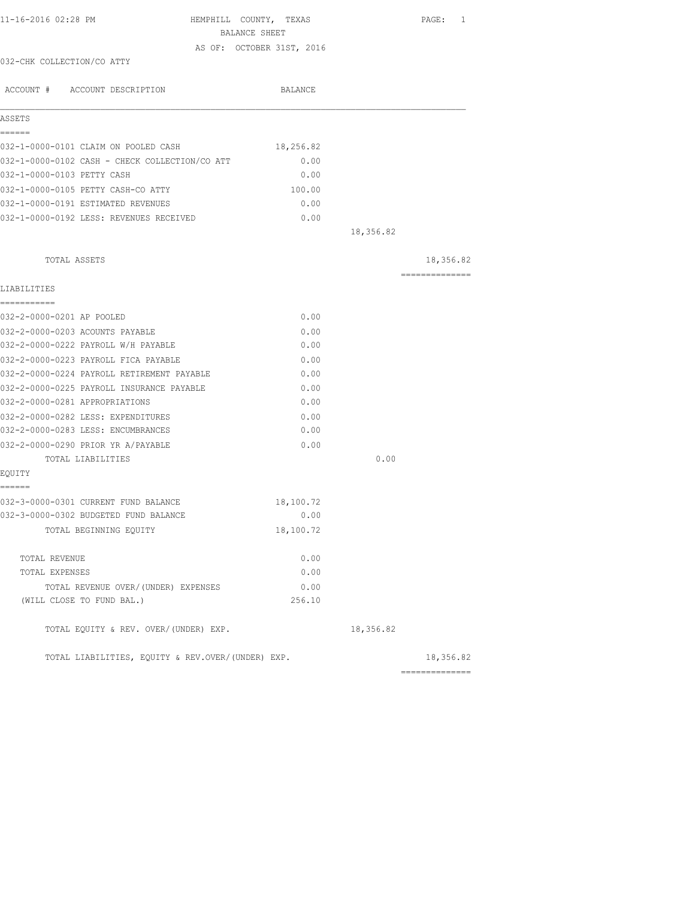| 11-16-2016 02:28 PM                                                          | HEMPHILL COUNTY, TEXAS<br>BALANCE SHEET |           | PAGE: 1         |
|------------------------------------------------------------------------------|-----------------------------------------|-----------|-----------------|
|                                                                              | AS OF: OCTOBER 31ST, 2016               |           |                 |
| 032-CHK COLLECTION/CO ATTY                                                   |                                         |           |                 |
|                                                                              |                                         |           |                 |
| ACCOUNT # ACCOUNT DESCRIPTION                                                | BALANCE                                 |           |                 |
| ASSETS                                                                       |                                         |           |                 |
| ======                                                                       |                                         |           |                 |
| 032-1-0000-0101 CLAIM ON POOLED CASH                                         | 18,256.82                               |           |                 |
| 032-1-0000-0102 CASH - CHECK COLLECTION/CO ATT<br>032-1-0000-0103 PETTY CASH | 0.00<br>0.00                            |           |                 |
| 032-1-0000-0105 PETTY CASH-CO ATTY                                           | 100.00                                  |           |                 |
| 032-1-0000-0191 ESTIMATED REVENUES                                           | 0.00                                    |           |                 |
| 032-1-0000-0192 LESS: REVENUES RECEIVED                                      | 0.00                                    |           |                 |
|                                                                              |                                         | 18,356.82 |                 |
| TOTAL ASSETS                                                                 |                                         |           | 18,356.82       |
|                                                                              |                                         |           | =============== |
| LIABILITIES                                                                  |                                         |           |                 |
| -----------<br>032-2-0000-0201 AP POOLED                                     | 0.00                                    |           |                 |
| 032-2-0000-0203 ACOUNTS PAYABLE                                              | 0.00                                    |           |                 |
| 032-2-0000-0222 PAYROLL W/H PAYABLE                                          | 0.00                                    |           |                 |
| 032-2-0000-0223 PAYROLL FICA PAYABLE                                         | 0.00                                    |           |                 |
| 032-2-0000-0224 PAYROLL RETIREMENT PAYABLE                                   | 0.00                                    |           |                 |
| 032-2-0000-0225 PAYROLL INSURANCE PAYABLE                                    | 0.00                                    |           |                 |
| 032-2-0000-0281 APPROPRIATIONS                                               | 0.00                                    |           |                 |
| 032-2-0000-0282 LESS: EXPENDITURES                                           | 0.00                                    |           |                 |
| 032-2-0000-0283 LESS: ENCUMBRANCES                                           | 0.00                                    |           |                 |
| 032-2-0000-0290 PRIOR YR A/PAYABLE                                           | 0.00                                    |           |                 |
| TOTAL LIABILITIES                                                            |                                         | 0.00      |                 |
| EQUITY<br>======                                                             |                                         |           |                 |
| 032-3-0000-0301 CURRENT FUND BALANCE                                         | 18,100.72                               |           |                 |
| 032-3-0000-0302 BUDGETED FUND BALANCE                                        | 0.00                                    |           |                 |
| TOTAL BEGINNING EQUITY                                                       | 18,100.72                               |           |                 |
| TOTAL REVENUE                                                                | 0.00                                    |           |                 |
| TOTAL EXPENSES                                                               | 0.00                                    |           |                 |
| TOTAL REVENUE OVER/ (UNDER) EXPENSES                                         | 0.00                                    |           |                 |
| (WILL CLOSE TO FUND BAL.)                                                    | 256.10                                  |           |                 |
| TOTAL EQUITY & REV. OVER/(UNDER) EXP.                                        |                                         | 18,356.82 |                 |
| TOTAL LIABILITIES, EQUITY & REV.OVER/(UNDER) EXP.                            |                                         |           | 18,356.82       |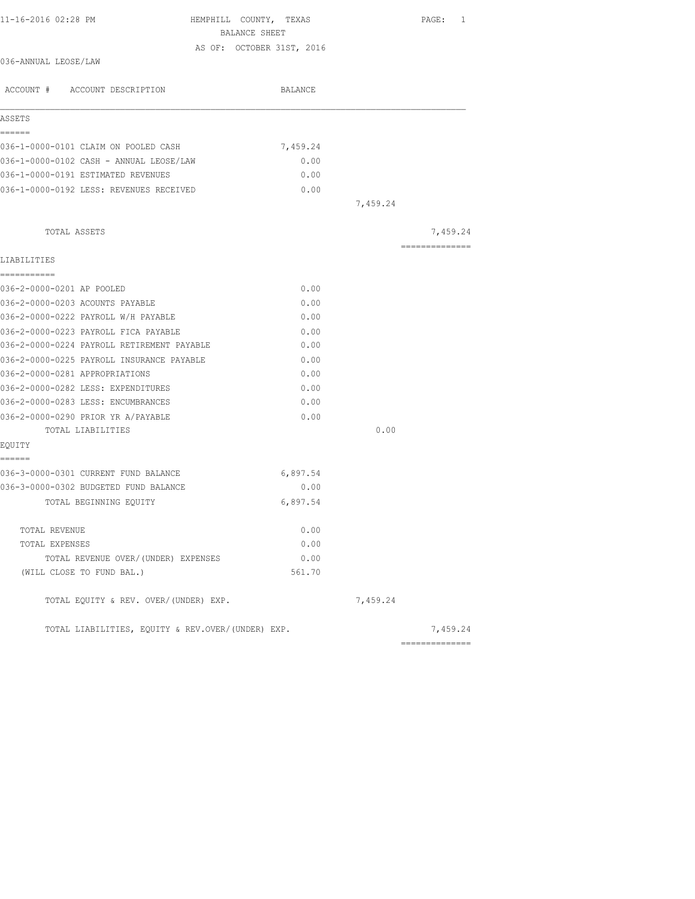| 11-16-2016 02:28 PM                               | HEMPHILL COUNTY, TEXAS                     |          | PAGE: 1        |
|---------------------------------------------------|--------------------------------------------|----------|----------------|
|                                                   | BALANCE SHEET<br>AS OF: OCTOBER 31ST, 2016 |          |                |
| 036-ANNUAL LEOSE/LAW                              |                                            |          |                |
|                                                   |                                            |          |                |
| ACCOUNT # ACCOUNT DESCRIPTION                     | BALANCE                                    |          |                |
| ASSETS                                            |                                            |          |                |
| ------                                            |                                            |          |                |
| 036-1-0000-0101 CLAIM ON POOLED CASH              | 7,459.24                                   |          |                |
| 036-1-0000-0102 CASH - ANNUAL LEOSE/LAW           | 0.00                                       |          |                |
| 036-1-0000-0191 ESTIMATED REVENUES                | 0.00                                       |          |                |
| 036-1-0000-0192 LESS: REVENUES RECEIVED           | 0.00                                       |          |                |
|                                                   |                                            | 7,459.24 |                |
| TOTAL ASSETS                                      |                                            |          | 7,459.24       |
| LIABILITIES                                       |                                            |          | -------------- |
| ------------                                      |                                            |          |                |
| 036-2-0000-0201 AP POOLED                         | 0.00                                       |          |                |
| 036-2-0000-0203 ACOUNTS PAYABLE                   | 0.00                                       |          |                |
| 036-2-0000-0222 PAYROLL W/H PAYABLE               | 0.00                                       |          |                |
| 036-2-0000-0223 PAYROLL FICA PAYABLE              | 0.00                                       |          |                |
| 036-2-0000-0224 PAYROLL RETIREMENT PAYABLE        | 0.00                                       |          |                |
| 036-2-0000-0225 PAYROLL INSURANCE PAYABLE         | 0.00                                       |          |                |
| 036-2-0000-0281 APPROPRIATIONS                    | 0.00                                       |          |                |
| 036-2-0000-0282 LESS: EXPENDITURES                | 0.00                                       |          |                |
| 036-2-0000-0283 LESS: ENCUMBRANCES                | 0.00                                       |          |                |
| 036-2-0000-0290 PRIOR YR A/PAYABLE                | 0.00                                       |          |                |
| TOTAL LIABILITIES                                 |                                            | 0.00     |                |
| EQUITY<br>======                                  |                                            |          |                |
| 036-3-0000-0301 CURRENT FUND BALANCE              | 6,897.54                                   |          |                |
| 036-3-0000-0302 BUDGETED FUND BALANCE             | 0.00                                       |          |                |
| TOTAL BEGINNING EQUITY                            | 6,897.54                                   |          |                |
| TOTAL REVENUE                                     | 0.00                                       |          |                |
| TOTAL EXPENSES                                    | 0.00                                       |          |                |
| TOTAL REVENUE OVER/(UNDER) EXPENSES               | 0.00                                       |          |                |
| (WILL CLOSE TO FUND BAL.)                         | 561.70                                     |          |                |
| TOTAL EQUITY & REV. OVER/(UNDER) EXP.             |                                            | 7,459.24 |                |
| TOTAL LIABILITIES, EQUITY & REV.OVER/(UNDER) EXP. |                                            |          | 7,459.24       |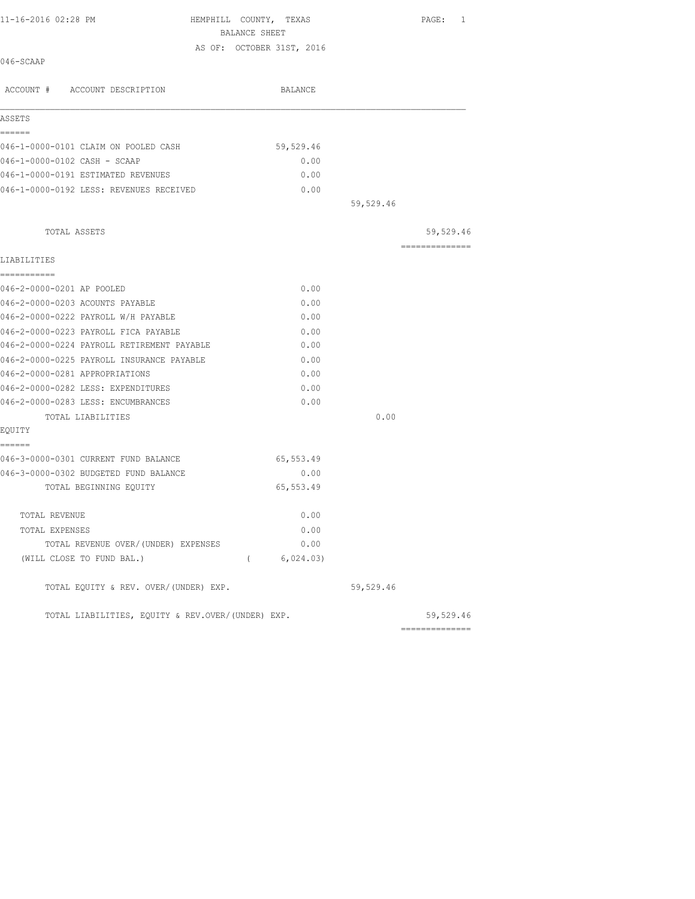| 11-16-2016 02:28 PM<br>046-SCAAP           | HEMPHILL COUNTY, TEXAS<br><b>BALANCE SHEET</b><br>AS OF: OCTOBER 31ST, 2016 |           | PAGE:<br>1      |
|--------------------------------------------|-----------------------------------------------------------------------------|-----------|-----------------|
|                                            |                                                                             |           |                 |
| ACCOUNT # ACCOUNT DESCRIPTION              | BALANCE                                                                     |           |                 |
| ASSETS                                     |                                                                             |           |                 |
| ======                                     |                                                                             |           |                 |
| 046-1-0000-0101 CLAIM ON POOLED CASH       | 59,529.46                                                                   |           |                 |
| 046-1-0000-0102 CASH - SCAAP               | 0.00                                                                        |           |                 |
| 046-1-0000-0191 ESTIMATED REVENUES         | 0.00                                                                        |           |                 |
| 046-1-0000-0192 LESS: REVENUES RECEIVED    | 0.00                                                                        |           |                 |
|                                            |                                                                             | 59,529.46 |                 |
| TOTAL ASSETS                               |                                                                             |           | 59,529.46       |
| LIABILITIES                                |                                                                             |           | --------------- |
| ===========                                |                                                                             |           |                 |
| 046-2-0000-0201 AP POOLED                  | 0.00                                                                        |           |                 |
| 046-2-0000-0203 ACOUNTS PAYABLE            | 0.00                                                                        |           |                 |
| 046-2-0000-0222 PAYROLL W/H PAYABLE        | 0.00                                                                        |           |                 |
| 046-2-0000-0223 PAYROLL FICA PAYABLE       | 0.00                                                                        |           |                 |
| 046-2-0000-0224 PAYROLL RETIREMENT PAYABLE | 0.00                                                                        |           |                 |
| 046-2-0000-0225 PAYROLL INSURANCE PAYABLE  | 0.00                                                                        |           |                 |
| 046-2-0000-0281 APPROPRIATIONS             | 0.00                                                                        |           |                 |
| 046-2-0000-0282 LESS: EXPENDITURES         | 0.00                                                                        |           |                 |
| 046-2-0000-0283 LESS: ENCUMBRANCES         | 0.00                                                                        |           |                 |
| TOTAL LIABILITIES                          |                                                                             | 0.00      |                 |
| EOUITY                                     |                                                                             |           |                 |
| ======                                     |                                                                             |           |                 |
| 046-3-0000-0301 CURRENT FUND BALANCE       | 65,553.49                                                                   |           |                 |
| 046-3-0000-0302 BUDGETED FUND BALANCE      | 0.00                                                                        |           |                 |
| TOTAL BEGINNING EQUITY                     | 65, 553.49                                                                  |           |                 |
|                                            |                                                                             |           |                 |

| TOTAL REVENUE                       | 0.00      |
|-------------------------------------|-----------|
| TOTAL EXPENSES                      | 0.00      |
| TOTAL REVENUE OVER/(UNDER) EXPENSES | 0.00      |
| (WILL CLOSE TO FUND BAL.)           | 6,024.03) |

TOTAL EQUITY & REV. OVER/(UNDER) EXP. 59,529.46

TOTAL LIABILITIES, EQUITY & REV.OVER/(UNDER) EXP. 59,529.46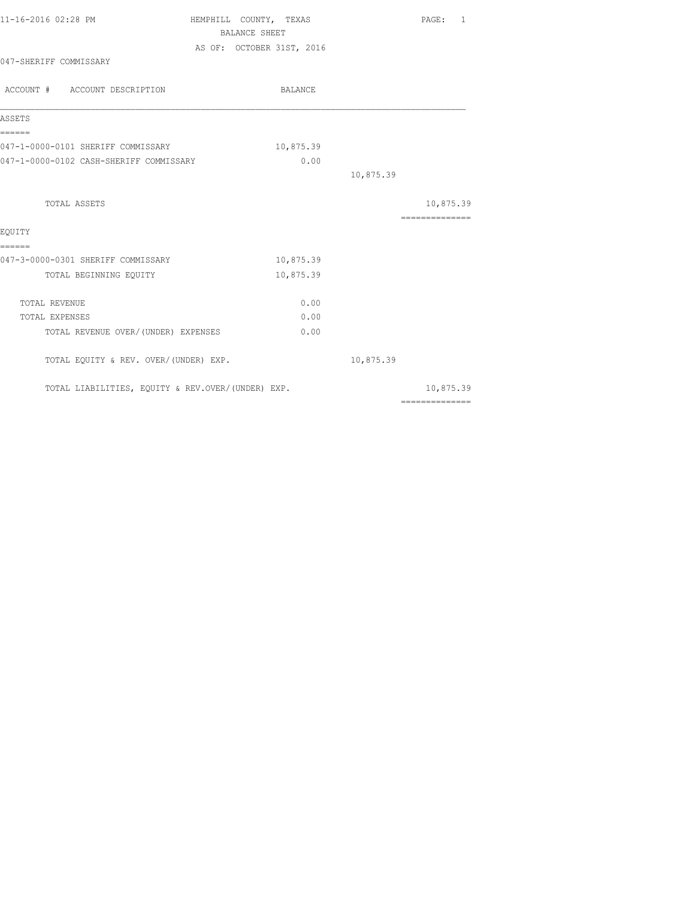| 11-16-2016 02:28 PM                               | HEMPHILL COUNTY, TEXAS    | PAGE: 1                                                                                                                                                                                                                                                                                                                                                                                                                                                                                |
|---------------------------------------------------|---------------------------|----------------------------------------------------------------------------------------------------------------------------------------------------------------------------------------------------------------------------------------------------------------------------------------------------------------------------------------------------------------------------------------------------------------------------------------------------------------------------------------|
|                                                   | <b>BALANCE SHEET</b>      |                                                                                                                                                                                                                                                                                                                                                                                                                                                                                        |
|                                                   | AS OF: OCTOBER 31ST, 2016 |                                                                                                                                                                                                                                                                                                                                                                                                                                                                                        |
| 047-SHERIFF COMMISSARY                            |                           |                                                                                                                                                                                                                                                                                                                                                                                                                                                                                        |
| ACCOUNT # ACCOUNT DESCRIPTION                     | BALANCE                   |                                                                                                                                                                                                                                                                                                                                                                                                                                                                                        |
| ASSETS                                            |                           |                                                                                                                                                                                                                                                                                                                                                                                                                                                                                        |
| ------<br>047-1-0000-0101 SHERIFF COMMISSARY      | 10,875.39                 |                                                                                                                                                                                                                                                                                                                                                                                                                                                                                        |
| 047-1-0000-0102 CASH-SHERIFF COMMISSARY           | 0.00                      |                                                                                                                                                                                                                                                                                                                                                                                                                                                                                        |
|                                                   |                           | 10,875.39                                                                                                                                                                                                                                                                                                                                                                                                                                                                              |
| TOTAL ASSETS                                      |                           | 10,875.39                                                                                                                                                                                                                                                                                                                                                                                                                                                                              |
| EOUITY                                            |                           | ---------------                                                                                                                                                                                                                                                                                                                                                                                                                                                                        |
| ======<br>047-3-0000-0301 SHERIFF COMMISSARY      | 10,875.39                 |                                                                                                                                                                                                                                                                                                                                                                                                                                                                                        |
| TOTAL BEGINNING EQUITY                            | 10,875.39                 |                                                                                                                                                                                                                                                                                                                                                                                                                                                                                        |
| TOTAL REVENUE                                     | 0.00                      |                                                                                                                                                                                                                                                                                                                                                                                                                                                                                        |
| TOTAL EXPENSES                                    | 0.00                      |                                                                                                                                                                                                                                                                                                                                                                                                                                                                                        |
| TOTAL REVENUE OVER/(UNDER) EXPENSES               | 0.00                      |                                                                                                                                                                                                                                                                                                                                                                                                                                                                                        |
| TOTAL EQUITY & REV. OVER/(UNDER) EXP.             |                           | 10,875.39                                                                                                                                                                                                                                                                                                                                                                                                                                                                              |
| TOTAL LIABILITIES, EQUITY & REV.OVER/(UNDER) EXP. |                           | 10,875.39                                                                                                                                                                                                                                                                                                                                                                                                                                                                              |
|                                                   |                           | $\begin{array}{cccccccccccccc} \multicolumn{2}{c}{} & \multicolumn{2}{c}{} & \multicolumn{2}{c}{} & \multicolumn{2}{c}{} & \multicolumn{2}{c}{} & \multicolumn{2}{c}{} & \multicolumn{2}{c}{} & \multicolumn{2}{c}{} & \multicolumn{2}{c}{} & \multicolumn{2}{c}{} & \multicolumn{2}{c}{} & \multicolumn{2}{c}{} & \multicolumn{2}{c}{} & \multicolumn{2}{c}{} & \multicolumn{2}{c}{} & \multicolumn{2}{c}{} & \multicolumn{2}{c}{} & \multicolumn{2}{c}{} & \multicolumn{2}{c}{} & \$ |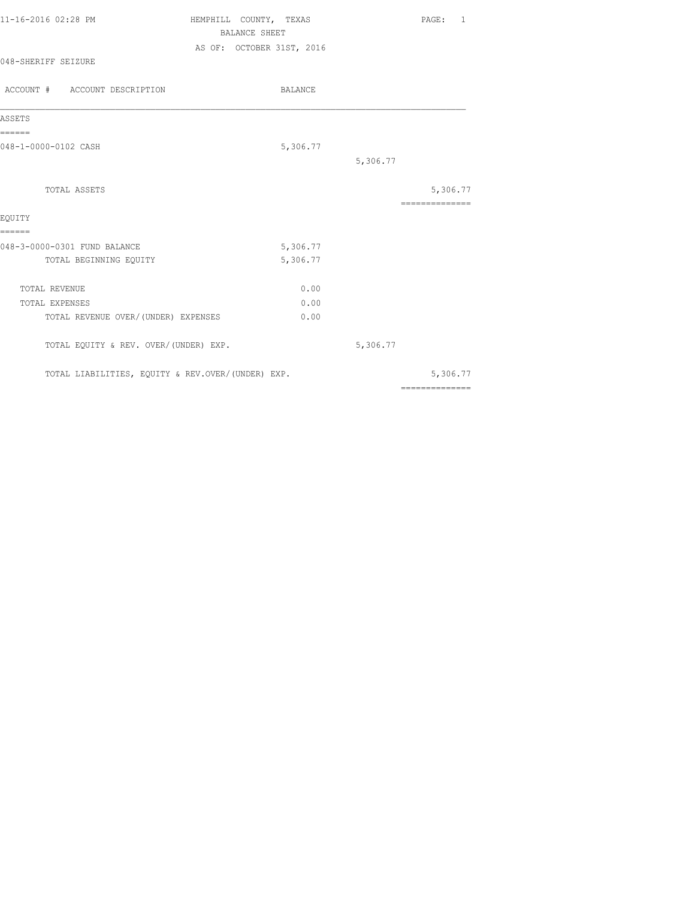| 11-16-2016 02:28 PM | HEMPHILL COUNTY, TEXAS    | PAGE: 1 |  |  |  |
|---------------------|---------------------------|---------|--|--|--|
|                     | BALANCE SHEET             |         |  |  |  |
|                     | AS OF: OCTOBER 31ST, 2016 |         |  |  |  |
| 048-SHERIFF SEIZURE |                           |         |  |  |  |

| ACCOUNT # ACCOUNT DESCRIPTION                     | BALANCE  |          |                            |
|---------------------------------------------------|----------|----------|----------------------------|
| ASSETS                                            |          |          |                            |
| ======<br>048-1-0000-0102 CASH                    | 5,306.77 |          |                            |
|                                                   |          | 5,306.77 |                            |
| <b>TOTAL ASSETS</b>                               |          |          | 5,306.77<br>============== |
| EQUITY                                            |          |          |                            |
| ======                                            |          |          |                            |
| 048-3-0000-0301 FUND BALANCE                      | 5,306.77 |          |                            |
| TOTAL BEGINNING EQUITY                            | 5,306.77 |          |                            |
| TOTAL REVENUE                                     | 0.00     |          |                            |
| TOTAL EXPENSES                                    | 0.00     |          |                            |
| TOTAL REVENUE OVER/ (UNDER) EXPENSES              | 0.00     |          |                            |
| TOTAL EQUITY & REV. OVER/(UNDER) EXP.             |          | 5,306.77 |                            |
| TOTAL LIABILITIES, EQUITY & REV.OVER/(UNDER) EXP. |          |          | 5,306.77                   |
|                                                   |          |          | ==============             |